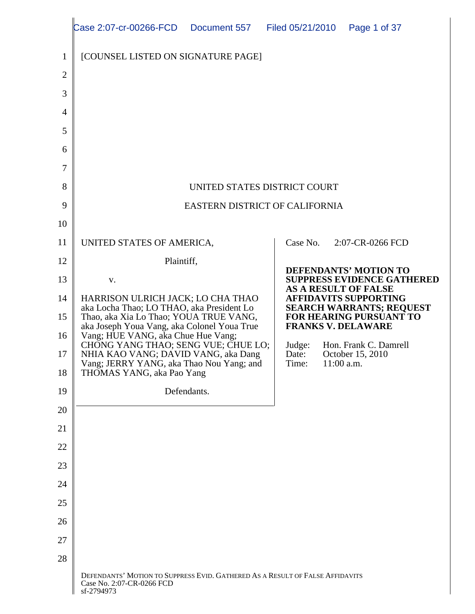|                | Case 2:07-cr-00266-FCD  Document 557  Filed 05/21/2010  Page 1 of 37                                                                                                                                           |                                                                 |
|----------------|----------------------------------------------------------------------------------------------------------------------------------------------------------------------------------------------------------------|-----------------------------------------------------------------|
|                | $\parallel$ [COUNSEL LISTED ON SIGNATURE PAGE]                                                                                                                                                                 |                                                                 |
|                |                                                                                                                                                                                                                |                                                                 |
|                |                                                                                                                                                                                                                |                                                                 |
|                |                                                                                                                                                                                                                |                                                                 |
| 5 <sup>1</sup> |                                                                                                                                                                                                                |                                                                 |
| 6              |                                                                                                                                                                                                                |                                                                 |
| 7 <sup>1</sup> |                                                                                                                                                                                                                |                                                                 |
|                | UNITED STATES DISTRICT COURT                                                                                                                                                                                   |                                                                 |
| $\mathbf Q$    | EASTERN DISTRICT OF CALIFORNIA                                                                                                                                                                                 |                                                                 |
| 10             |                                                                                                                                                                                                                |                                                                 |
|                | 11   UNITED STATES OF AMERICA,                                                                                                                                                                                 | 2:07-CR-0266 FCD<br>Case No.                                    |
| 12             | Plaintiff,                                                                                                                                                                                                     | <b>DEFENDANTS' MOTION TO</b>                                    |
| 13             | $\mathbf{V}$                                                                                                                                                                                                   | SUPPRESS EVIDENCE GATHERED<br>AS A RESULT OF FALSE              |
|                | 14   HARRISON ULRICH JACK; LO CHA THAO<br>aka Locha Thao; LO THAO, aka President Lo                                                                                                                            | <b>AFFIDAVITS SUPPORTING</b><br><b>SEARCH WARRANTS; REQUEST</b> |
|                | 15<br>Thao, aka Xia Lo Thao; YOUA TRUE VANG,<br>aka Joseph Youa Vang, aka Colonel Youa True<br>Vang; HUE VANG, aka Chue Hue Vang;<br>CHONG YANG THAO; SENG VUE; CHUE LO;<br>NULL MAO, MANG, DANING, NANG, NANG | FOR HEARING PURSUANT TO<br><b>FRANKS V. DELAWARE</b>            |
|                |                                                                                                                                                                                                                | Judge: Hon. Frank C. Damrell                                    |
|                | 17   NHIA KAO VANG; DAVID VANG, aka Dang<br>Vang; JERRY YANG, aka Thao Nou Yang; and<br>18 THOMAS YANG, aka Pao Yang                                                                                           | October 15, 2010<br>Date:<br>Time:<br>$11:00$ a.m.              |
|                |                                                                                                                                                                                                                |                                                                 |
| 19             | Defendants.                                                                                                                                                                                                    |                                                                 |
| 20             |                                                                                                                                                                                                                |                                                                 |
| 21             |                                                                                                                                                                                                                |                                                                 |
| 22             |                                                                                                                                                                                                                |                                                                 |
| 23             |                                                                                                                                                                                                                |                                                                 |
| 24             |                                                                                                                                                                                                                |                                                                 |
| 25             |                                                                                                                                                                                                                |                                                                 |
| 26             |                                                                                                                                                                                                                |                                                                 |
| 27             |                                                                                                                                                                                                                |                                                                 |
| 28             |                                                                                                                                                                                                                |                                                                 |
|                | DEFENDANTS' MOTION TO SUPPRESS EVID. GATHERED AS A RESULT OF FALSE AFFIDAVITS<br>Case No. 2:07-CR-0266 FCD<br>sf-2794973                                                                                       |                                                                 |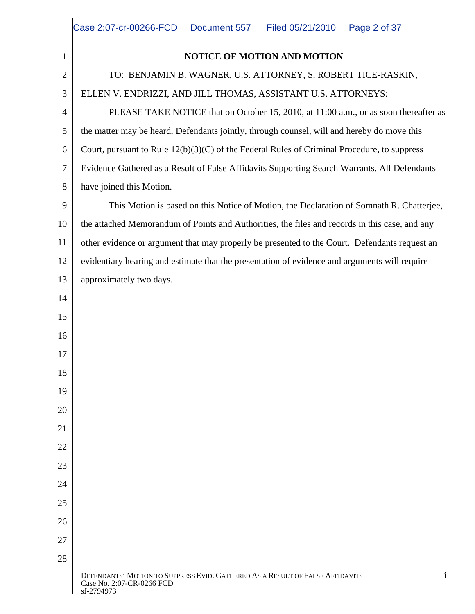|      | Case 2:07-cr-00266-FCD  Document 557  Filed 05/21/2010  Page 2 of 37                                                         |
|------|------------------------------------------------------------------------------------------------------------------------------|
|      | NOTICE OF MOTION AND MOTION                                                                                                  |
|      | TO: BENJAMIN B. WAGNER, U.S. ATTORNEY, S. ROBERT TICE-RASKIN,                                                                |
|      | ELLEN V. ENDRIZZI, AND JILL THOMAS, ASSISTANT U.S. ATTORNEYS:                                                                |
|      | PLEASE TAKE NOTICE that on October 15, 2010, at 11:00 a.m., or as soon thereafter as                                         |
|      | $\begin{bmatrix} 5 \end{bmatrix}$ the matter may be heard, Defendants jointly, through counsel, will and hereby do move this |
|      | 6 Court, pursuant to Rule $12(b)(3)(C)$ of the Federal Rules of Criminal Procedure, to suppress                              |
|      | Evidence Gathered as a Result of False Affidavits Supporting Search Warrants. All Defendants                                 |
|      | 8   have joined this Motion.                                                                                                 |
| Q    | This Motion is based on this Notice of Motion, the Declaration of Somnath R. Chatterjee,                                     |
|      | 10    the attached Memorandum of Points and Authorities, the files and records in this case, and any                         |
|      | ■ other evidence or argument that may properly be presented to the Court. Defendants request an                              |
|      | 12 $\parallel$ evidentiary hearing and estimate that the presentation of evidence and arguments will require                 |
| 13 I | approximately two days.                                                                                                      |
| 14   |                                                                                                                              |
| 15   |                                                                                                                              |
| 16   |                                                                                                                              |
| 17   |                                                                                                                              |
| 18   |                                                                                                                              |
| 19   |                                                                                                                              |
| 20   |                                                                                                                              |
| 21   |                                                                                                                              |
| 22   |                                                                                                                              |
| 23   |                                                                                                                              |
| 24   |                                                                                                                              |
| 25   |                                                                                                                              |
| 26   |                                                                                                                              |
| 27   |                                                                                                                              |
| 28   |                                                                                                                              |
|      | DEFENDANTS' MOTION TO SUPPRESS EVID. GATHERED AS A RESULT OF FALSE AFFIDAVITS<br>Case No. 2:07-CR-0266 FCD<br>sf-2794973     |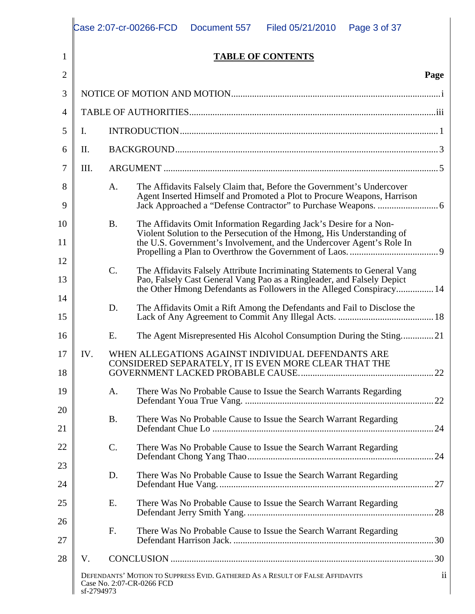|                |            |                 | Case 2:07-cr-00266-FCD<br>Filed 05/21/2010<br>Page 3 of 37<br>Document 557                                                                                                                                                                                                     |             |
|----------------|------------|-----------------|--------------------------------------------------------------------------------------------------------------------------------------------------------------------------------------------------------------------------------------------------------------------------------|-------------|
|                |            |                 | <b>TABLE OF CONTENTS</b>                                                                                                                                                                                                                                                       |             |
|                |            |                 |                                                                                                                                                                                                                                                                                | Page        |
|                |            |                 | NOTICE OF MOTION AND MOTION.                                                                                                                                                                                                                                                   |             |
|                |            |                 | TABLE OF AUTHORITIES.                                                                                                                                                                                                                                                          |             |
| 5 <sub>1</sub> |            |                 | INTRODUCTION.                                                                                                                                                                                                                                                                  |             |
| 6 I            |            |                 | <b>BACKGROUND.</b>                                                                                                                                                                                                                                                             |             |
|                |            | <b>ARGUMENT</b> |                                                                                                                                                                                                                                                                                |             |
|                |            |                 | The Affidavits Falsely Claim that, Before the Government's Undercover<br>Agent Inserted Himself and Promoted a Plot to Procure Weapons, Harrison<br>Jack Approached a "Defense Contractor" to Purchase Weapons.                                                                |             |
|                |            | В.              | The Affidavits Omit Information Regarding Jack's Desire for a Non-<br>Violent Solution to the Persecution of the Hmong, His Understanding of<br>the U.S. Government's Involvement, and the Undercover Agent's Role In<br>Propelling a Plan to Overthrow the Government of Laos |             |
| 13             |            |                 | The Affidavits Falsely Attribute Incriminating Statements to General Vang<br>Pao, Falsely Cast General Vang Pao as a Ringleader, and Falsely Depict<br>the Other Hmong Defendants as Followers in the Alleged Conspiracy                                                       |             |
| 15             |            | D.              |                                                                                                                                                                                                                                                                                |             |
| 6              |            |                 | The Agent Misrepresented His Alcohol Consumption During the Sting21                                                                                                                                                                                                            |             |
| 18             |            |                 | WHEN ALLEGATIONS AGAINST INDIVIDUAL DEFENDANTS ARE<br>CONSIDERED SEPARATELY, IT IS EVEN MORE CLEAR THAT THE<br>GOVERNMENT LACKED PROBABLE CAUSE.                                                                                                                               | .22         |
| 19<br>20       |            | A.              | There Was No Probable Cause to Issue the Search Warrants Regarding                                                                                                                                                                                                             |             |
| 21             |            | <b>B.</b>       | There Was No Probable Cause to Issue the Search Warrant Regarding                                                                                                                                                                                                              | $\dots$ 24  |
| 22<br>23       |            | C.              | There Was No Probable Cause to Issue the Search Warrant Regarding<br>Defendant Chong Yang Thao                                                                                                                                                                                 | $\ldots$ 24 |
| 24             |            | D.              | There Was No Probable Cause to Issue the Search Warrant Regarding                                                                                                                                                                                                              |             |
| 25<br>26       |            | Е.              | There Was No Probable Cause to Issue the Search Warrant Regarding                                                                                                                                                                                                              | $\dots 28$  |
| 27             |            | $F_{\rm c}$     | There Was No Probable Cause to Issue the Search Warrant Regarding<br>Defendant Harrison Jack                                                                                                                                                                                   |             |
| 28             | V          |                 | CONCLUSION.                                                                                                                                                                                                                                                                    | $\dots 30$  |
|                | sf-2794973 |                 | DEFENDANTS' MOTION TO SUPPRESS EVID. GATHERED AS A RESULT OF FALSE AFFIDAVITS<br>Case No. 2:07-CR-0266 FCD                                                                                                                                                                     |             |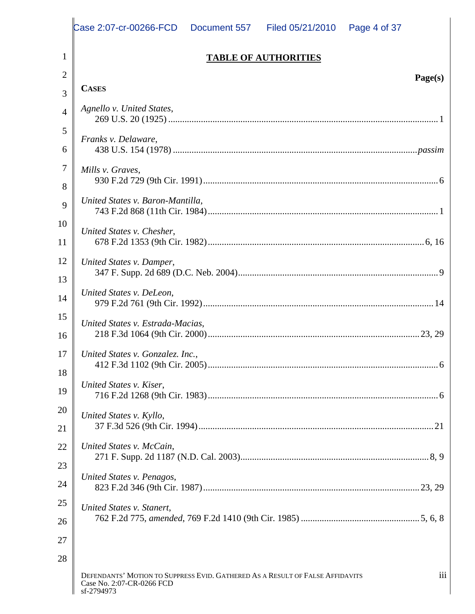|    | Case 2:07-cr-00266-FCD  Document 557<br>Filed 05/21/2010  Page 4 of 37                                                   |
|----|--------------------------------------------------------------------------------------------------------------------------|
|    | <b>TABLE OF AUTHORITIES</b>                                                                                              |
|    | Page(s)                                                                                                                  |
|    | <b>CASES</b>                                                                                                             |
|    | Agnello v. United States,<br>269 U.S. 20 (1925).                                                                         |
|    | Franks v. Delaware,                                                                                                      |
|    | 438 U.S. 154 (1978)<br>.passim                                                                                           |
|    | Mills v. Graves,<br>930 F.2d 729 (9th Cir. 1991).                                                                        |
|    | United States v. Baron-Mantilla,                                                                                         |
|    | 743 F.2d 868 (11th Cir. 1984)                                                                                            |
| 10 | United States v. Chesher,<br>.6, 16                                                                                      |
|    | 678 F.2d 1353 (9th Cir. 1982)                                                                                            |
|    | 12   United States v. Damper,<br>347 F. Supp. 2d 689 (D.C. Neb. 2004)                                                    |
| 14 | United States v. DeLeon,                                                                                                 |
|    | 979 F.2d 761 (9th Cir. 1992)                                                                                             |
|    | United States v. Estrada-Macias,<br>.23, 29<br>218 F.3d 1064 (9th Cir. 2000).                                            |
| 17 | United States v. Gonzalez. Inc.,                                                                                         |
| 18 | 412 F.3d 1102 (9th Cir. 2005)                                                                                            |
| 19 | United States v. Kiser,<br>716 F.2d 1268 (9th Cir. 1983)                                                                 |
| 20 | United States v. Kyllo,                                                                                                  |
|    | 37 F.3d 526 (9th Cir. 1994)                                                                                              |
|    | 22   United States v. McCain,<br>271 F. Supp. 2d 1187 (N.D. Cal. 2003)<br>.8, 9                                          |
| 23 | United States v. Penagos,                                                                                                |
|    | .23, 29<br>823 F.2d 346 (9th Cir. 1987)                                                                                  |
| 25 | United States v. Stanert,                                                                                                |
|    | 762 F.2d 775, amended, 769 F.2d 1410 (9th Cir. 1985).<br>.5, 6, 8                                                        |
| די |                                                                                                                          |
| 28 |                                                                                                                          |
|    | DEFENDANTS' MOTION TO SUPPRESS EVID. GATHERED AS A RESULT OF FALSE AFFIDAVITS<br>Case No. 2:07-CR-0266 FCD<br>sf-2794973 |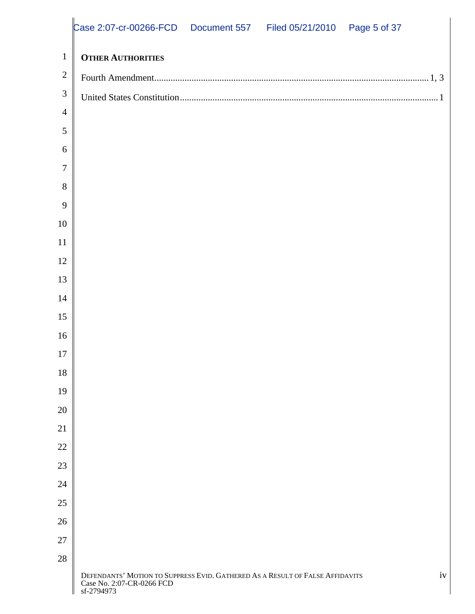|          | Case 2:07-cr-00266-FCD  Document 557  Filed 05/21/2010  Page 5 of 37                                                     |    |
|----------|--------------------------------------------------------------------------------------------------------------------------|----|
|          | $\perp$ Other Authorities                                                                                                |    |
|          | $2 \parallel$ Fourth Amendment                                                                                           |    |
|          | $3 \parallel$ United States Constitution                                                                                 |    |
|          |                                                                                                                          |    |
|          |                                                                                                                          |    |
| h.       |                                                                                                                          |    |
|          |                                                                                                                          |    |
| 8<br>9   |                                                                                                                          |    |
| 10       |                                                                                                                          |    |
| 11       |                                                                                                                          |    |
| 12       |                                                                                                                          |    |
| 13       |                                                                                                                          |    |
| 14       |                                                                                                                          |    |
| 15       |                                                                                                                          |    |
| 16       |                                                                                                                          |    |
| 17       |                                                                                                                          |    |
| 18       |                                                                                                                          |    |
| 19       |                                                                                                                          |    |
| 20       |                                                                                                                          |    |
| 21       |                                                                                                                          |    |
| 22       |                                                                                                                          |    |
| 23<br>24 |                                                                                                                          |    |
| 25       |                                                                                                                          |    |
| 26       |                                                                                                                          |    |
| 27       |                                                                                                                          |    |
| 28       |                                                                                                                          |    |
|          | DEFENDANTS' MOTION TO SUPPRESS EVID. GATHERED AS A RESULT OF FALSE AFFIDAVITS<br>Case No. 2:07-CR-0266 FCD<br>sf-2794973 | iv |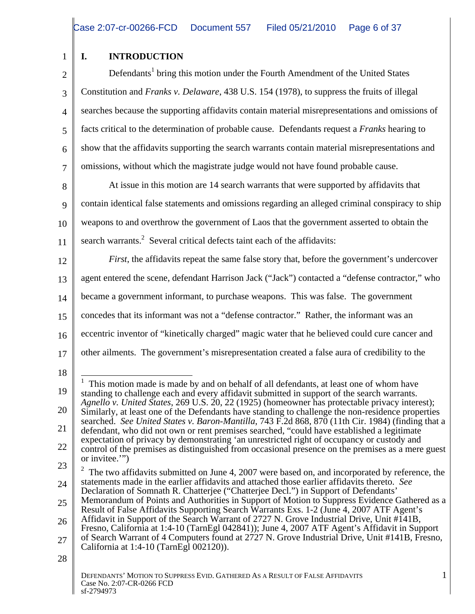#### 1 | I. INTRODUCTION **I. INTRODUCTION**

2 Defendants<sup>1</sup> bring this motion under the Fourth Amendment of the United States 3 Constitution and *Franks v. Delaware*, 438 U.S. 154 (1978), to suppress the fruits of illegal 4 searches because the supporting affidavits contain material misrepresentations and omissions of 5 facts critical to the determination of probable cause. Defendants request a *Franks* hearing to  $6 \parallel$  show that the affidavits supporting the search warrants contain material misrepresentations and  $\begin{bmatrix} 7 \end{bmatrix}$  omissions, without which the magistrate judge would not have found probable cause.<br>
At issue in this motion are 14 search warrants that were supported by affidavits that

8 At issue in this motion are 14 search warrants that were supported by affidavits that 9 contain identical false statements and omissions regarding an alleged criminal conspiracy to ship 10 weapons to and overthrow the government of Laos that the government asserted to obtain the 11 search warrants.<sup>2</sup> Several critical defects taint each of the affidavits:

12 *First*, the affidavits repeat the same false story that, before the government's undercover 13 agent entered the scene, defendant Harrison Jack ("Jack") contacted a "defense contractor," who 14 became a government informant, to purchase weapons. This was false. The government 15 concedes that its informant was not a "defense contractor." Rather, the informant was an 16 eccentric inventor of "kinetically charged" magic water that he believed could cure cancer and 17 other ailments. The government's misrepresentation created a false aura of credibility to the

<sup>18</sup> 19 standing to challenge each and every affidavit submitted in support of the search warrants. 20 Similarly, at least one of the Defendants have standing to challenge the non-residence properties 21 defendant, who did not own or rent premises searched, "could have established a legitimate <sup>1</sup> This motion made is made by and on behalf of all defendants, at least one of whom have *Agnello v. United States*, 269 U.S. 20, 22 (1925) (homeowner has protectable privacy interest); searched. *See United States v. Baron-Mantilla*, 743 F.2d 868, 870 (11th Cir. 1984) (finding that a

 $22 \parallel$  control of the premises as distinguished from occasional presence on the premises as a mere guest expectation of privacy by demonstrating 'an unrestricted right of occupancy or custody and or invitee.'")

<sup>23</sup>  $\parallel$  2 The two affidavits submitted on June 4, 2007 were based on, and incorporated by reference, the 24 statements made in the earlier affidavits and attached those earlier affidavits thereto. *See* Declaration of Somnath R. Chatterjee ("Chatterjee Decl.") in Support of Defendants'

 $25 \parallel$  Memorandum of Points and Authorities in Support of Motion to Suppress Evidence Gathered as a Result of False Affidavits Supporting Search Warrants Exs. 1-2 (June 4, 2007 ATF Agent's

<sup>26</sup> Affidavit in Support of the Search Warrant of 2727 N. Grove Industrial Drive, Unit #141B, 27 of Search Warrant of 4 Computers found at 2727 N. Grove Industrial Drive, Unit #141B, Fresno, Fresno, California at 1:4-10 (TarnEgl 042841)); June 4, 2007 ATF Agent's Affidavit in Support California at 1:4-10 (TarnEgl 002120)).

 $28 \parallel$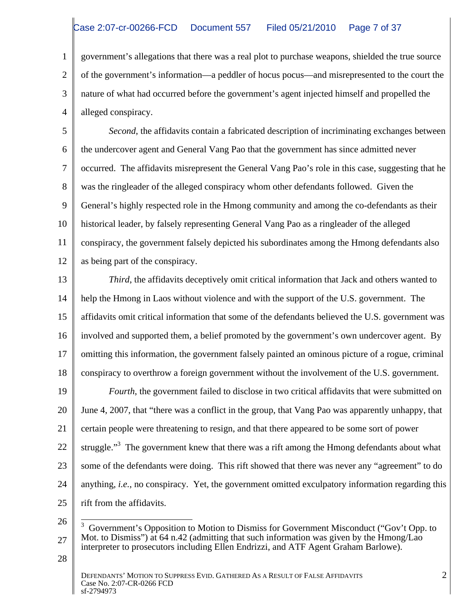1 government's allegations that there was a real plot to purchase weapons, shielded the true source 2 of the government's information—a peddler of hocus pocus—and misrepresented to the court the 3 || nature of what had occurred before the government's agent injected himself and propelled the 4 alleged conspiracy. alleged conspiracy.

5 Second, the affidavits contain a fabricated description of incriminating exchanges between 6 the undercover agent and General Vang Pao that the government has since admitted never 7 occurred. The affidavits misrepresent the General Vang Pao's role in this case, suggesting that he 8 was the ringleader of the alleged conspiracy whom other defendants followed. Given the 9 General's highly respected role in the Hmong community and among the co-defendants as their 10 | historical leader, by falsely representing General Vang Pao as a ringleader of the alleged 11 conspiracy, the government falsely depicted his subordinates among the Hmong defendants also 12 as being part of the conspiracy.

13 Third, the affidavits deceptively omit critical information that Jack and others wanted to 14 | help the Hmong in Laos without violence and with the support of the U.S. government. The 15 | affidavits omit critical information that some of the defendants believed the U.S. government was | 16 involved and supported them, a belief promoted by the government's own undercover agent. By 17  $\parallel$  omitting this information, the government falsely painted an ominous picture of a rogue, criminal  $\parallel$ 18 conspiracy to overthrow a foreign government without the involvement of the U.S. government.

19 **Fourth**, the government failed to disclose in two critical affidavits that were submitted on 20 June 4, 2007, that "there was a conflict in the group, that Vang Pao was apparently unhappy, that 21 certain people were threatening to resign, and that there appeared to be some sort of power 22  $\parallel$  struggle."<sup>3</sup> The government knew that there was a rift among the Hmong defendants about what 23 Some of the defendants were doing. This rift showed that there was never any "agreement" to do 24  $\parallel$  anything, *i.e.*, no conspiracy. Yet, the government omitted exculpatory information regarding this  $\parallel$  $25 \parallel$  rift from the affidavits. rift from the affidavits.

<sup>26</sup>  $\frac{1}{3}$  Government's Opposition to Motion to Dismiss for Government Misconduct ("Gov't Opp. to  $27 \parallel$  Mot. to Dismiss") at 64 n.42 (admitting that such information was given by the Hmong/Lao interpreter to prosecutors including Ellen Endrizzi, and ATF Agent Graham Barlowe).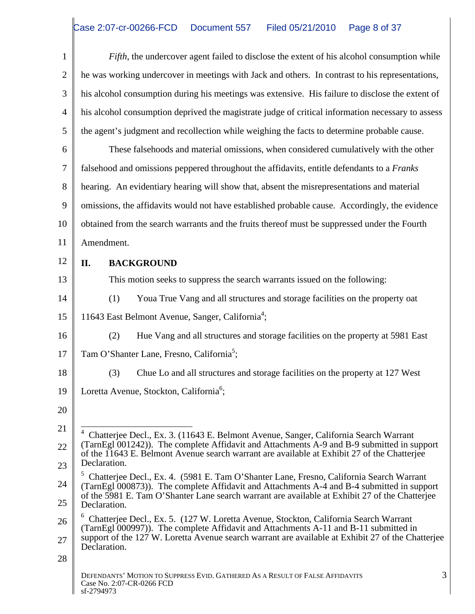|        | Fifth, the undercover agent failed to disclose the extent of his alcohol consumption while                                                                                                                                                                                                  |
|--------|---------------------------------------------------------------------------------------------------------------------------------------------------------------------------------------------------------------------------------------------------------------------------------------------|
|        | he was working undercover in meetings with Jack and others. In contrast to his representations,                                                                                                                                                                                             |
|        | his alcohol consumption during his meetings was extensive. His failure to disclose the extent of                                                                                                                                                                                            |
|        | his alcohol consumption deprived the magistrate judge of critical information necessary to assess                                                                                                                                                                                           |
|        | the agent's judgment and recollection while weighing the facts to determine probable cause.                                                                                                                                                                                                 |
| 6      | These falsehoods and material omissions, when considered cumulatively with the other                                                                                                                                                                                                        |
|        | falsehood and omissions peppered throughout the affidavits, entitle defendants to a Franks                                                                                                                                                                                                  |
| 8 I    | hearing. An evidentiary hearing will show that, absent the misrepresentations and material                                                                                                                                                                                                  |
|        | omissions, the affidavits would not have established probable cause. Accordingly, the evidence                                                                                                                                                                                              |
| $10-1$ | obtained from the search warrants and the fruits thereof must be suppressed under the Fourth                                                                                                                                                                                                |
| 11     | Amendment.                                                                                                                                                                                                                                                                                  |
| 12     | <b>BACKGROUND</b><br>П.                                                                                                                                                                                                                                                                     |
| 13     | This motion seeks to suppress the search warrants issued on the following:                                                                                                                                                                                                                  |
| 14     | Youa True Vang and all structures and storage facilities on the property oat<br>(1)                                                                                                                                                                                                         |
| 15     | 11643 East Belmont Avenue, Sanger, California <sup>4</sup> ;                                                                                                                                                                                                                                |
| 16     | Hue Vang and all structures and storage facilities on the property at 5981 East                                                                                                                                                                                                             |
| 17     | Tam O'Shanter Lane, Fresno, California <sup>5</sup> ;                                                                                                                                                                                                                                       |
| 18     | Chue Lo and all structures and storage facilities on the property at 127 West<br>(3)                                                                                                                                                                                                        |
|        | 19   Loretta Avenue, Stockton, California <sup>6</sup> ;                                                                                                                                                                                                                                    |
| 20     |                                                                                                                                                                                                                                                                                             |
|        |                                                                                                                                                                                                                                                                                             |
| 22     | <sup>4</sup> Chatterjee Decl., Ex. 3. (11643 E. Belmont Avenue, Sanger, California Search Warrant<br>(TarnEgl 001242)). The complete Affidavit and Attachments A-9 and B-9 submitted in support of the 11643 E. Belmont Avenue search warrant are available at Exhibit 27 of the Chatterjee |
| 23     | Declaration.                                                                                                                                                                                                                                                                                |
| 24     | <sup>5</sup> Chatterjee Decl., Ex. 4. (5981 E. Tam O'Shanter Lane, Fresno, California Search Warrant<br>(TarnEgl 000873)). The complete Affidavit and Attachments A-4 and B-4 submitted in support                                                                                          |
| 25     | of the 5981 E. Tam O'Shanter Lane search warrant are available at Exhibit 27 of the Chatterjee<br>Declaration.                                                                                                                                                                              |
| 26     | <sup>6</sup> Chatterjee Decl., Ex. 5. (127 W. Loretta Avenue, Stockton, California Search Warrant                                                                                                                                                                                           |
| 27     | (TarnEgl 000997)). The complete Affidavit and Attachments A-11 and B-11 submitted in<br>support of the 127 W. Loretta Avenue search warrant are available at Exhibit 27 of the Chatterjee<br>Declaration.                                                                                   |
| 28     |                                                                                                                                                                                                                                                                                             |
|        | DEFENDANTS' MOTION TO SUPPRESS EVID. GATHERED AS A RESULT OF FALSE AFFIDAVITS<br>Case No. 2:07-CR-0266 FCD<br>sf-2794973                                                                                                                                                                    |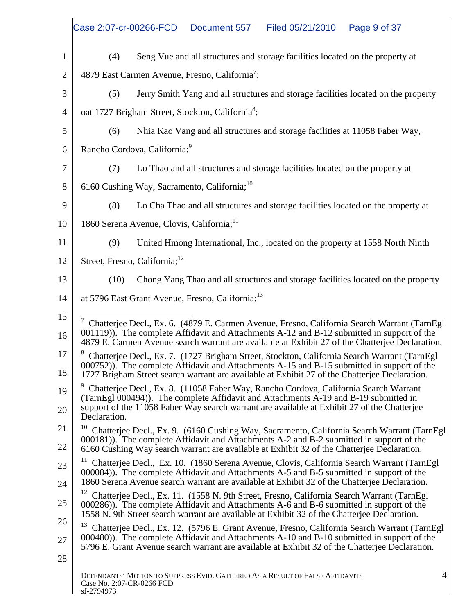|                 | Case 2:07-cr-00266-FCD  Document 557  Filed 05/21/2010  Page 9 of 37                                                                                                                                                                                                                                |
|-----------------|-----------------------------------------------------------------------------------------------------------------------------------------------------------------------------------------------------------------------------------------------------------------------------------------------------|
|                 | Seng Vue and all structures and storage facilities located on the property at                                                                                                                                                                                                                       |
|                 | 4879 East Carmen Avenue, Fresno, California <sup>'</sup> ;                                                                                                                                                                                                                                          |
|                 | Jerry Smith Yang and all structures and storage facilities located on the property                                                                                                                                                                                                                  |
|                 | oat 1727 Brigham Street, Stockton, California <sup>8</sup> ;                                                                                                                                                                                                                                        |
| $5-1$           | Nhia Kao Vang and all structures and storage facilities at 11058 Faber Way,                                                                                                                                                                                                                         |
|                 | 6   Rancho Cordova, California; <sup>9</sup>                                                                                                                                                                                                                                                        |
|                 | Lo Thao and all structures and storage facilities located on the property at                                                                                                                                                                                                                        |
| 8 <sub>1</sub>  | 6160 Cushing Way, Sacramento, California; <sup>10</sup>                                                                                                                                                                                                                                             |
| $\mathbf{Q}$    | Lo Cha Thao and all structures and storage facilities located on the property at                                                                                                                                                                                                                    |
| 10              | 1860 Serena Avenue, Clovis, California;                                                                                                                                                                                                                                                             |
|                 | United Hmong International, Inc., located on the property at 1558 North Ninth                                                                                                                                                                                                                       |
| $12-1$          | Street, Fresno, California; <sup>12</sup>                                                                                                                                                                                                                                                           |
| 13              | Chong Yang Thao and all structures and storage facilities located on the property                                                                                                                                                                                                                   |
| 14 II           | at 5796 East Grant Avenue, Fresno, California; <sup>13</sup>                                                                                                                                                                                                                                        |
| 15              | Chatterjee Decl., Ex. 6. (4879 E. Carmen Avenue, Fresno, California Search Warrant (TarnEgl                                                                                                                                                                                                         |
| 16 I            | 001119)). The complete Affidavit and Attachments A-12 and B-12 submitted in support of the 4879 E. Carmen Avenue search warrant are available at Exhibit 27 of the Chatterjee Declaration.                                                                                                          |
|                 | <sup>17</sup> <sup>8</sup> Chatterjee Decl., Ex. 7. (1727 Brigham Street, Stockton, California Search Warrant (TarnEgl 000752)). The complete Affidavit and Attachments A-15 and B-15 submitted in support of the                                                                                   |
| 18              | 1727 Brigham Street search warrant are available at Exhibit 27 of the Chatterjee Declaration.                                                                                                                                                                                                       |
| 19              | Chatterjee Decl., Ex. 8. (11058 Faber Way, Rancho Cordova, California Search Warrant<br>(TarnEgl 000494)). The complete Affidavit and Attachments A-19 and B-19 submitted in                                                                                                                        |
| 20 <sub>1</sub> | support of the 11058 Faber Way search warrant are available at Exhibit 27 of the Chatterjee<br>Declaration.                                                                                                                                                                                         |
|                 | <sup>10</sup> Chatterjee Decl., Ex. 9. (6160 Cushing Way, Sacramento, California Search Warrant (TarnEgl                                                                                                                                                                                            |
| 22              | 000181)). The complete Affidavit and Attachments A-2 and B-2 submitted in support of the<br>6160 Cushing Way search warrant are available at Exhibit 32 of the Chatterjee Declaration.                                                                                                              |
| $23-1$          | <sup>11</sup> Chatterjee Decl., Ex. 10. (1860 Serena Avenue, Clovis, California Search Warrant (TarnEgl<br>000084)). The complete Affidavit and Attachments A-5 and B-5 submitted in support of the                                                                                                 |
| 24              | 1860 Serena Avenue search warrant are available at Exhibit 32 of the Chatterjee Declaration.                                                                                                                                                                                                        |
| 25              | <sup>12</sup> Chatterjee Decl., Ex. 11. (1558 N. 9th Street, Fresno, California Search Warrant (TarnEgl<br>000286)). The complete Affidavit and Attachments A-6 and B-6 submitted in support of the<br>1558 N. 9th Street search warrant are available at Exhibit 32 of the Chatterjee Declaration. |
| 26              | <sup>13</sup> Chatterjee Decl., Ex. 12. (5796 E. Grant Avenue, Fresno, California Search Warrant (TarnEgl<br>000480)). The complete Affidavit and Attachments A-10 and B-10 submitted in support of the                                                                                             |
|                 | 5796 E. Grant Avenue search warrant are available at Exhibit 32 of the Chatterjee Declaration.                                                                                                                                                                                                      |
| 28              | DEFENDANTS' MOTION TO SUPPRESS EVID. GATHERED AS A RESULT OF FALSE AFFIDAVITS                                                                                                                                                                                                                       |
|                 | Case No. 2:07-CR-0266 FCD<br>sf-2794973                                                                                                                                                                                                                                                             |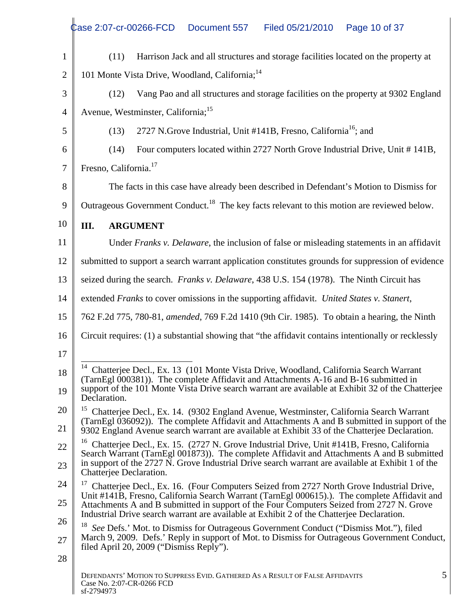|    | Case 2:07-cr-00266-FCD Document 557<br>Filed 05/21/2010  Page 10 of 37                                                                                                                                                                        |
|----|-----------------------------------------------------------------------------------------------------------------------------------------------------------------------------------------------------------------------------------------------|
|    | Harrison Jack and all structures and storage facilities located on the property at                                                                                                                                                            |
|    | 101 Monte Vista Drive, Woodland, California; <sup>14</sup>                                                                                                                                                                                    |
|    | Vang Pao and all structures and storage facilities on the property at 9302 England                                                                                                                                                            |
|    | Avenue, Westminster, California; <sup>15</sup>                                                                                                                                                                                                |
| .5 | 2727 N.Grove Industrial, Unit #141B, Fresno, California <sup>16</sup> ; and                                                                                                                                                                   |
| 6  | Four computers located within 2727 North Grove Industrial Drive, Unit #141B,<br>(14)                                                                                                                                                          |
|    | Fresno, California. <sup>17</sup>                                                                                                                                                                                                             |
| 8  | The facts in this case have already been described in Defendant's Motion to Dismiss for                                                                                                                                                       |
|    | $\parallel$ Outrageous Government Conduct. <sup>18</sup> The key facts relevant to this motion are reviewed below.                                                                                                                            |
| 10 | <b>III. ARGUMENT</b>                                                                                                                                                                                                                          |
|    | Under Franks v. Delaware, the inclusion of false or misleading statements in an affidavit                                                                                                                                                     |
|    | submitted to support a search warrant application constitutes grounds for suppression of evidence                                                                                                                                             |
|    | seized during the search. Franks v. Delaware, 438 U.S. 154 (1978). The Ninth Circuit has                                                                                                                                                      |
|    |                                                                                                                                                                                                                                               |
|    | extended Franks to cover omissions in the supporting affidavit. United States v. Stanert,                                                                                                                                                     |
|    | 762 F.2d 775, 780-81, amended, 769 F.2d 1410 (9th Cir. 1985). To obtain a hearing, the Ninth                                                                                                                                                  |
|    | 16 Circuit requires: (1) a substantial showing that "the affidavit contains intentionally or recklessly                                                                                                                                       |
|    |                                                                                                                                                                                                                                               |
|    | <sup>14</sup> Chatterjee Decl., Ex. 13 (101 Monte Vista Drive, Woodland, California Search Warrant<br>(TarnEgl 000381)). The complete Affidavit and Attachments A-16 and B-16 submitted in                                                    |
|    | support of the 101 Monte Vista Drive search warrant are available at Exhibit 32 of the Chatterjee<br>Declaration.                                                                                                                             |
|    | <sup>15</sup> Chatterjee Decl., Ex. 14. (9302 England Avenue, Westminster, California Search Warrant                                                                                                                                          |
|    | (TarnEgl 036092)). The complete Affidavit and Attachments A and B submitted in support of the<br>9302 England Avenue search warrant are available at Exhibit 33 of the Chatterjee Declaration.                                                |
|    | <sup>16</sup> Chatterjee Decl., Ex. 15. (2727 N. Grove Industrial Drive, Unit #141B, Fresno, California<br>Search Warrant (TarnEgl 001873)). The complete Affidavit and Attachments A and B submitted                                         |
|    | in support of the 2727 N. Grove Industrial Drive search warrant are available at Exhibit 1 of the<br>Chatterjee Declaration.                                                                                                                  |
|    | <sup>17</sup> Chatterjee Decl., Ex. 16. (Four Computers Seized from 2727 North Grove Industrial Drive,                                                                                                                                        |
|    | Unit #141B, Fresno, California Search Warrant (TarnEgl 000615).). The complete Affidavit and<br>Attachments A and B submitted in support of the Four Computers Seized from 2727 N. Grove                                                      |
|    | Industrial Drive search warrant are available at Exhibit 2 of the Chatterjee Declaration.                                                                                                                                                     |
|    | <sup>18</sup> See Defs.' Mot. to Dismiss for Outrageous Government Conduct ("Dismiss Mot."), filed<br>March 9, 2009. Defs.' Reply in support of Mot. to Dismiss for Outrageous Government Conduct,<br>filed April 20, 2009 ("Dismiss Reply"). |
|    |                                                                                                                                                                                                                                               |
|    | DEFENDANTS' MOTION TO SUPPRESS EVID. GATHERED AS A RESULT OF FALSE AFFIDAVITS<br>Case No. 2:07-CR-0266 FCD                                                                                                                                    |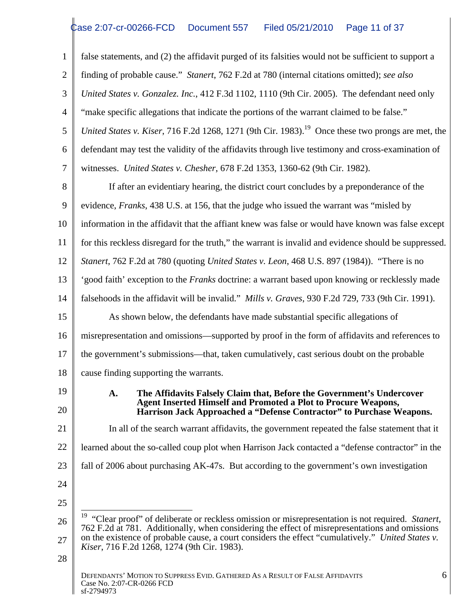|                 | false statements, and (2) the affidavit purged of its falsities would not be sufficient to support a                                                                                                            |
|-----------------|-----------------------------------------------------------------------------------------------------------------------------------------------------------------------------------------------------------------|
| 2 II            | finding of probable cause." Stanert, 762 F.2d at 780 (internal citations omitted); see also                                                                                                                     |
|                 | United States v. Gonzalez. Inc., 412 F.3d 1102, 1110 (9th Cir. 2005). The defendant need only                                                                                                                   |
| $\overline{4}$  | "make specific allegations that indicate the portions of the warrant claimed to be false."                                                                                                                      |
|                 | United States v. Kiser, 716 F.2d 1268, 1271 (9th Cir. 1983). <sup>19</sup> Once these two prongs are met, the                                                                                                   |
| 6 <sub>1</sub>  | defendant may test the validity of the affidavits through live testimony and cross-examination of                                                                                                               |
|                 | witnesses. United States v. Chesher, 678 F.2d 1353, 1360-62 (9th Cir. 1982).                                                                                                                                    |
| 8 <sup>1</sup>  | If after an evidentiary hearing, the district court concludes by a preponderance of the                                                                                                                         |
|                 | 9   evidence, <i>Franks</i> , 438 U.S. at 156, that the judge who issued the warrant was "misled by                                                                                                             |
|                 | 10   information in the affidavit that the affiant knew was false or would have known was false except                                                                                                          |
|                 | for this reckless disregard for the truth," the warrant is invalid and evidence should be suppressed.                                                                                                           |
| 12 <sub>1</sub> | <i>Stanert, 762 F.2d at 780 (quoting United States v. Leon, 468 U.S. 897 (1984)).</i> "There is no                                                                                                              |
| $13-1$          | 'good faith' exception to the Franks doctrine: a warrant based upon knowing or recklessly made                                                                                                                  |
| 14 I            | falsehoods in the affidavit will be invalid." <i>Mills v. Graves</i> , 930 F.2d 729, 733 (9th Cir. 1991).                                                                                                       |
| $15-1$          | As shown below, the defendants have made substantial specific allegations of                                                                                                                                    |
|                 | 16 misrepresentation and omissions—supported by proof in the form of affidavits and references to                                                                                                               |
|                 | the government's submissions—that, taken cumulatively, cast serious doubt on the probable                                                                                                                       |
| 18 I            | cause finding supporting the warrants.                                                                                                                                                                          |
| 19              | The Affidavits Falsely Claim that, Before the Government's Undercover                                                                                                                                           |
| 20              | Agent Inserted Himself and Promoted a Plot to Procure Weapons,<br>Harrison Jack Approached a "Defense Contractor" to Purchase Weapons.                                                                          |
| 21              | In all of the search warrant affidavits, the government repeated the false statement that it                                                                                                                    |
| $22 \perp$      | learned about the so-called coup plot when Harrison Jack contacted a "defense contractor" in the                                                                                                                |
|                 | 23   fall of 2006 about purchasing AK-47s. But according to the government's own investigation                                                                                                                  |
| 24              |                                                                                                                                                                                                                 |
| 25              |                                                                                                                                                                                                                 |
|                 | <sup>19</sup> "Clear proof" of deliberate or reckless omission or misrepresentation is not required. Stanert,<br>762 F.2d at 781. Additionally, when considering the effect of misrepresentations and omissions |
| 27              | on the existence of probable cause, a court considers the effect "cumulatively." United States v.<br>Kiser, 716 F.2d 1268, 1274 (9th Cir. 1983).                                                                |
| 28              |                                                                                                                                                                                                                 |
|                 | DEFENDANTS' MOTION TO SUPPRESS EVID. GATHERED AS A RESULT OF FALSE AFFIDAVITS<br>Case No. 2:07-CR-0266 FCD                                                                                                      |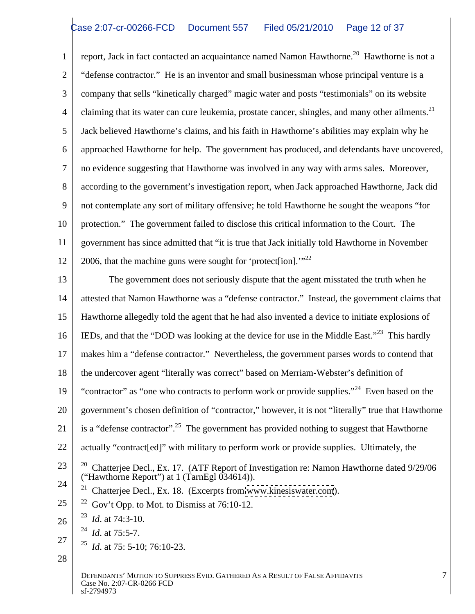1 | report, Jack in fact contacted an acquaintance named Namon Hawthorne.<sup>20</sup> Hawthorne is not a 2 " defense contractor." He is an inventor and small businessman whose principal venture is a 3 company that sells "kinetically charged" magic water and posts "testimonials" on its website detaining that its water can cure leukemia, prostate cancer, shingles, and many other ailments.<sup>21</sup><br>5 Jack believed Hawthorne's claims, and his faith in Hawthorne's abilities may explain why he 5 Jack believed Hawthorne's claims, and his faith in Hawthorne's abilities may explain why he 6 | approached Hawthorne for help. The government has produced, and defendants have uncovered, 7 no evidence suggesting that Hawthorne was involved in any way with arms sales. Moreover, 8 according to the government's investigation report, when Jack approached Hawthorne, Jack did 9 not contemplate any sort of military offensive; he told Hawthorne he sought the weapons "for 10 protection." The government failed to disclose this critical information to the Court. The 11 | government has since admitted that "it is true that Jack initially told Hawthorne in November 12 2006, that the machine guns were sought for 'protect[ion]."<sup>22</sup>

13 The government does not seriously dispute that the agent misstated the truth when he 14 attested that Namon Hawthorne was a "defense contractor." Instead, the government claims that 15 Hawthorne allegedly told the agent that he had also invented a device to initiate explosions of 16 IEDs, and that the "DOD was looking at the device for use in the Middle East."<sup>23</sup> This hardly 17 makes him a "defense contractor." Nevertheless, the government parses words to contend that 18 the undercover agent "literally was correct" based on Merriam-Webster's definition of 19 "contractor" as "one who contracts to perform work or provide supplies."<sup>24</sup> Even based on the 20 government's chosen definition of "contractor," however, it is not "literally" true that Hawthorne 21  $\parallel$  is a "defense contractor".<sup>25</sup> The government has provided nothing to suggest that Hawthorne 22 | actually "contract[ed]" with military to perform work or provide supplies. Ultimately, the 23  $\frac{1}{20}$  Chatterjee Decl., Ex. 17. (ATF Report of Investigation re: Namon Hawthorne dated 9/29/06  $24 \parallel 21$  Chatterjee Decl., Ex. 18. (Excerpts from [www.kinesiswater.com](http://www.kinesiswater.com)).  $25 \parallel$  <sup>22</sup> Gov't Opp. to Mot. to Dismiss at 76:10-12.  $26 \parallel$  <sup>25</sup> *Id.* at /4:3-10.  $27 \parallel$  25  $\parallel$  10  $\parallel$  76 10 22 ("Hawthorne Report") at 1 (TarnEgl 034614)).  $^{23}$  Id of 74.2 10 <sup>23</sup> *Id.* at 74:3-10.  $^{24}$  *L*, ot 75.5.7 *Id*. at 75:5-7. <sup>25</sup> *Id.* at 75: 5-10; 76:10-23.

 $28 \parallel$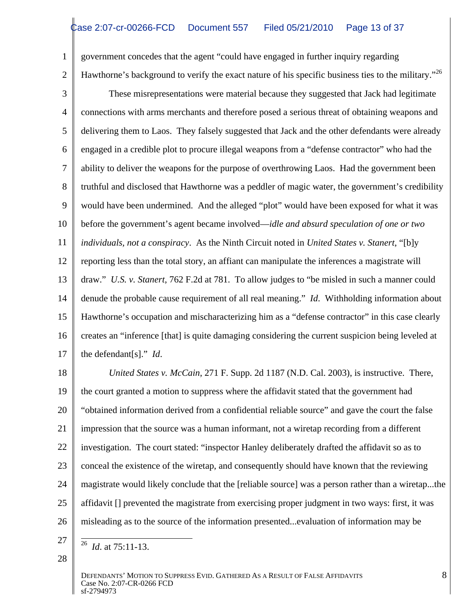- 1 government concedes that the agent "could have engaged in further inquiry regarding 2 Hawthorne's background to verify the exact nature of his specific business ties to the military."  $^{26}$
- 

3 These misrepresentations were material because they suggested that Jack had legitimate 4 connections with arms merchants and therefore posed a serious threat of obtaining weapons and 5 delivering them to Laos. They falsely suggested that Jack and the other defendants were already 6 | engaged in a credible plot to procure illegal weapons from a "defense contractor" who had the 7 ability to deliver the weapons for the purpose of overthrowing Laos. Had the government been 8 Truthful and disclosed that Hawthorne was a peddler of magic water, the government's credibility 9 would have been undermined. And the alleged "plot" would have been exposed for what it was 10 **before the government's agent became involved—***idle and absurd speculation of one or two* 11 *individuals, not a conspiracy*. As the Ninth Circuit noted in *United States v. Stanert*, "[b]y 12 | reporting less than the total story, an affiant can manipulate the inferences a magistrate will 13 draw." *U.S. v. Stanert*, 762 F.2d at 781. To allow judges to "be misled in such a manner could 14 denude the probable cause requirement of all real meaning." *Id*. Withholding information about 15 Hawthorne's occupation and mischaracterizing him as a "defense contractor" in this case clearly 16 creates an "inference [that] is quite damaging considering the current suspicion being leveled at 17  $\parallel$  the defendant [s]." *Id.* the defendant[s]." *Id*.

18 *United States v. McCain*, 271 F. Supp. 2d 1187 (N.D. Cal. 2003), is instructive. There, 19 the court granted a motion to suppress where the affidavit stated that the government had 20 || "obtained information derived from a confidential reliable source" and gave the court the false 21 | impression that the source was a human informant, not a wiretap recording from a different 22 | investigation. The court stated: "inspector Hanley deliberately drafted the affidavit so as to 23 | conceal the existence of the wiretap, and consequently should have known that the reviewing 24 | magistrate would likely conclude that the [reliable source] was a person rather than a wiretap...the | 25 | affidavit [] prevented the magistrate from exercising proper judgment in two ways: first, it was 26 | misleading as to the source of the information presented...evaluation of information may be

- $27 \parallel \frac{1}{26}$  $\frac{26}{1}$  dt  $\frac{75.11}{13}$ <sup>26</sup> *Id.* at 75:11-13.
- $28 \parallel$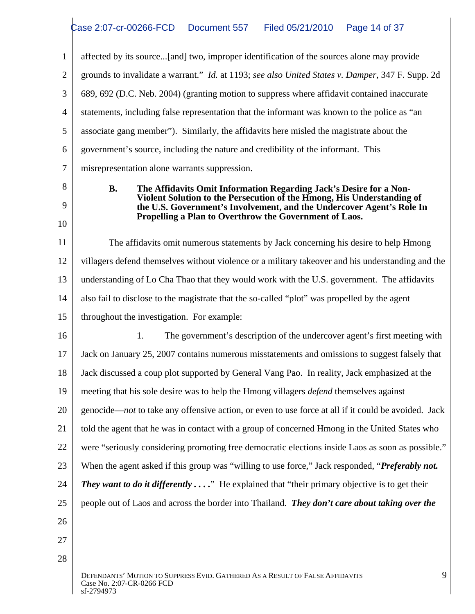|                         | affected by its source[and] two, improper identification of the sources alone may provide                                                                                                                                                                                       |
|-------------------------|---------------------------------------------------------------------------------------------------------------------------------------------------------------------------------------------------------------------------------------------------------------------------------|
|                         | grounds to invalidate a warrant." Id. at 1193; see also United States v. Damper, 347 F. Supp. 2d                                                                                                                                                                                |
|                         | 689, 692 (D.C. Neb. 2004) (granting motion to suppress where affidavit contained inaccurate                                                                                                                                                                                     |
|                         | statements, including false representation that the informant was known to the police as "an                                                                                                                                                                                    |
|                         | associate gang member"). Similarly, the affidavits here misled the magistrate about the                                                                                                                                                                                         |
|                         | government's source, including the nature and credibility of the informant. This                                                                                                                                                                                                |
|                         | misrepresentation alone warrants suppression.                                                                                                                                                                                                                                   |
| 8<br>$\mathbf Q$<br>IO. | The Affidavits Omit Information Regarding Jack's Desire for a Non-<br>Violent Solution to the Persecution of the Hmong, His Understanding of<br>the U.S. Government's Involvement, and the Undercover Agent's Role In<br>Propelling a Plan to Overthrow the Government of Laos. |
| 11                      | The affidavits omit numerous statements by Jack concerning his desire to help Hmong                                                                                                                                                                                             |
| 12 I                    | villagers defend themselves without violence or a military takeover and his understanding and the                                                                                                                                                                               |
| 13 I                    | understanding of Lo Cha Thao that they would work with the U.S. government. The affidavits                                                                                                                                                                                      |
| 14 I                    | also fail to disclose to the magistrate that the so-called "plot" was propelled by the agent                                                                                                                                                                                    |
| $15 \parallel$          | throughout the investigation. For example:                                                                                                                                                                                                                                      |
| 16                      | The government's description of the undercover agent's first meeting with                                                                                                                                                                                                       |
| $17 \parallel$          | Jack on January 25, 2007 contains numerous misstatements and omissions to suggest falsely that                                                                                                                                                                                  |
|                         | 18   Jack discussed a coup plot supported by General Vang Pao. In reality, Jack emphasized at the                                                                                                                                                                               |
|                         | 19 meeting that his sole desire was to help the Hmong villagers <i>defend</i> themselves against                                                                                                                                                                                |
| 20 <sub>1</sub>         | genocide—not to take any offensive action, or even to use force at all if it could be avoided. Jack                                                                                                                                                                             |
|                         | 21   told the agent that he was in contact with a group of concerned Hmong in the United States who                                                                                                                                                                             |
|                         | 22 were "seriously considering promoting free democratic elections inside Laos as soon as possible."                                                                                                                                                                            |
|                         | 23 When the agent asked if this group was "willing to use force," Jack responded, " <i>Preferably not</i> .                                                                                                                                                                     |
|                         | 24 <i>They want to do it differently</i> " He explained that "their primary objective is to get their                                                                                                                                                                           |
| $25 \parallel$          | people out of Laos and across the border into Thailand. They don't care about taking over the                                                                                                                                                                                   |
| 26                      |                                                                                                                                                                                                                                                                                 |
| 27                      |                                                                                                                                                                                                                                                                                 |
| 28                      |                                                                                                                                                                                                                                                                                 |
|                         | DEFENDANTS' MOTION TO SUPPRESS EVID. GATHERED AS A RESULT OF FALSE AFFIDAVITS<br>Case No. 2:07-CR-0266 FCD<br>sf-2794973                                                                                                                                                        |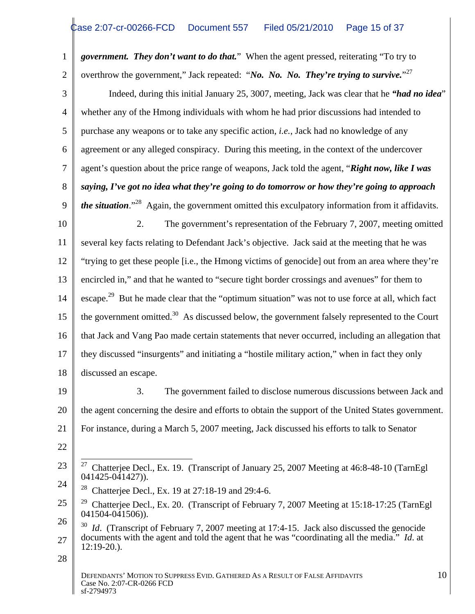1 **government. They don't want to do that.**" When the agent pressed, reiterating "To try to 2 | overthrow the government," Jack repeated: "*No. No. No. They're trying to survive*."<sup>27</sup>

 Indeed, during this initial January 25, 3007, meeting, Jack was clear that he *"had no idea*" whether any of the Hmong individuals with whom he had prior discussions had intended to purchase any weapons or to take any specific action, *i.e.*, Jack had no knowledge of any agreement or any alleged conspiracy. During this meeting, in the context of the undercover agent's question about the price range of weapons, Jack told the agent, "*Right now, like I was saying, I've got no idea what they're going to do tomorrow or how they're going to approach the situation*."<sup>28</sup> Again, the government omitted this exculpatory information from it affidavits.

10 10 2. The government's representation of the February 7, 2007, meeting omitted 11 Several key facts relating to Defendant Jack's objective. Jack said at the meeting that he was 12 "trying to get these people [i.e., the Hmong victims of genocide] out from an area where they're 13 encircled in," and that he wanted to "secure tight border crossings and avenues" for them to 14 escape.<sup>29</sup> But he made clear that the "optimum situation" was not to use force at all, which fact 15  $\parallel$  the government omitted.<sup>30</sup> As discussed below, the government falsely represented to the Court 16 that Jack and Vang Pao made certain statements that never occurred, including an allegation that 17 they discussed "insurgents" and initiating a "hostile military action," when in fact they only 18 discussed an escape. discussed an escape.

19 **19** 3. The government failed to disclose numerous discussions between Jack and 20 | the agent concerning the desire and efforts to obtain the support of the United States government. | 21 | For instance, during a March 5, 2007 meeting, Jack discussed his efforts to talk to Senator

22  $\parallel$ 

<sup>23</sup>  $\frac{1}{27}$  Chatterjee Decl., Ex. 19. (Transcript of January 25, 2007 Meeting at 46:8-48-10 (TarnEgl  $24 \begin{array}{|l|l|} \hline 28 & 21 & \text{c} & \text{c} \\ 28 & 21 & \text{c} & \text{c} & \text{c} \end{array}$ 041425-041427)).

<sup>&</sup>lt;sup>28</sup> Chatterjee Decl., Ex. 19 at 27:18-19 and 29:4-6.

 $25 \parallel$  <sup>29</sup> Chatterjee Decl., Ex. 20. (Transcript of February 7, 2007 Meeting at 15:18-17:25 (TarnEgl 041504-041506)).

 $26 \int_{0}^{30}$  *Id.* (Transcript of February 7, 2007 meeting at 17:4-15. Jack also discussed the genocide  $27 \parallel$  documents with the agent and told the agent that he was "coordinating all the media." *Id.* at 12:19-20.).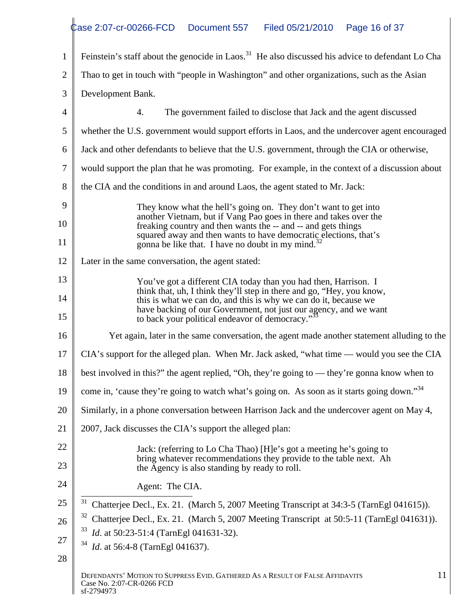|                               | Feinstein's staff about the genocide in Laos. <sup>31</sup> He also discussed his advice to defendant Lo Cha                                                                                                                                                                                                                                  |
|-------------------------------|-----------------------------------------------------------------------------------------------------------------------------------------------------------------------------------------------------------------------------------------------------------------------------------------------------------------------------------------------|
|                               | 2 Thao to get in touch with "people in Washington" and other organizations, such as the Asian                                                                                                                                                                                                                                                 |
|                               | 3 Development Bank.                                                                                                                                                                                                                                                                                                                           |
|                               | The government failed to disclose that Jack and the agent discussed                                                                                                                                                                                                                                                                           |
|                               | 5 whether the U.S. government would support efforts in Laos, and the undercover agent encouraged                                                                                                                                                                                                                                              |
|                               | 6 Jack and other defendants to believe that the U.S. government, through the CIA or otherwise,                                                                                                                                                                                                                                                |
|                               | would support the plan that he was promoting. For example, in the context of a discussion about                                                                                                                                                                                                                                               |
|                               | 8 the CIA and the conditions in and around Laos, the agent stated to Mr. Jack:                                                                                                                                                                                                                                                                |
| 9 <sup>1</sup><br>10          | They know what the hell's going on. They don't want to get into<br>another Vietnam, but if Vang Pao goes in there and takes over the freaking country and then wants the -- and -- and gets things<br>squared away and then wants to have democratic elections, that's gonna be like that. I have no doubt in my mind. <sup>32</sup>          |
| 12 I                          | Later in the same conversation, the agent stated:                                                                                                                                                                                                                                                                                             |
| 13  <br>$\overline{14}$<br>15 | You've got a different CIA today than you had then, Harrison. I<br>think that, uh, I think they'll step in there and go, "Hey, you know, this is what we can do, and this is why we can do it, because we<br>have backing of our Government, not just our agency, and we want<br>to back your political endeavor of democracy." <sup>33</sup> |
| 16                            | Yet again, later in the same conversation, the agent made another statement alluding to the                                                                                                                                                                                                                                                   |
|                               | 17   CIA's support for the alleged plan. When Mr. Jack asked, "what time — would you see the CIA                                                                                                                                                                                                                                              |
|                               | 18   best involved in this?" the agent replied, "Oh, they're going to — they're gonna know when to                                                                                                                                                                                                                                            |
|                               | 19 $\parallel$ come in, 'cause they're going to watch what's going on. As soon as it starts going down." <sup>34</sup>                                                                                                                                                                                                                        |
|                               | 20 Similarly, in a phone conversation between Harrison Jack and the undercover agent on May 4,                                                                                                                                                                                                                                                |
| 21                            | 2007, Jack discusses the CIA's support the alleged plan:                                                                                                                                                                                                                                                                                      |
| 22<br>23                      | Jack: (referring to Lo Cha Thao) [H]e's got a meeting he's going to<br>bring whatever recommendations they provide to the table next. Ah<br>the Agency is also standing by ready to roll.                                                                                                                                                     |
| 24                            | Agent: The CIA.                                                                                                                                                                                                                                                                                                                               |
| 25                            | $31$ Chatterjee Decl., Ex. 21. (March 5, 2007 Meeting Transcript at 34:3-5 (TarnEgl 041615)).                                                                                                                                                                                                                                                 |
| 26                            | <sup>32</sup> Chatterjee Decl., Ex. 21. (March 5, 2007 Meeting Transcript at 50:5-11 (TarnEgl 041631)).                                                                                                                                                                                                                                       |
| 27                            | <i>Id.</i> at 50:23-51:4 (TarnEgl 041631-32).                                                                                                                                                                                                                                                                                                 |
| 28                            | <i>Id.</i> at 56:4-8 (TarnEgl 041637).                                                                                                                                                                                                                                                                                                        |
|                               | DEFENDANTS' MOTION TO SUPPRESS EVID. GATHERED AS A RESULT OF FALSE AFFIDAVITS<br>-11<br>Case No. 2:07-CR-0266 FCD<br>sf-2794973                                                                                                                                                                                                               |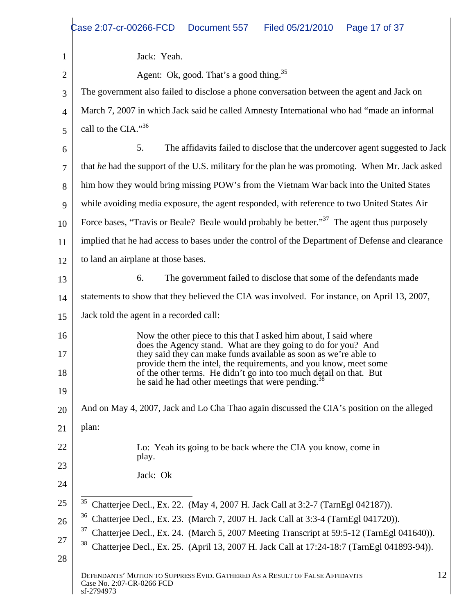|                       | Case 2:07-cr-00266-FCD Document 557<br>Filed 05/21/2010  Page 17 of 37                                                               |  |
|-----------------------|--------------------------------------------------------------------------------------------------------------------------------------|--|
|                       |                                                                                                                                      |  |
|                       | Jack: Yeah.                                                                                                                          |  |
|                       | Agent: Ok, good. That's a good thing. <sup>35</sup>                                                                                  |  |
|                       | The government also failed to disclose a phone conversation between the agent and Jack on                                            |  |
|                       | March 7, 2007 in which Jack said he called Amnesty International who had "made an informal"                                          |  |
| $\leq$ $\blacksquare$ | call to the CIA." $36$                                                                                                               |  |
| 6                     | The affidavits failed to disclose that the undercover agent suggested to Jack                                                        |  |
|                       | that he had the support of the U.S. military for the plan he was promoting. When Mr. Jack asked                                      |  |
|                       | 8   him how they would bring missing POW's from the Vietnam War back into the United States                                          |  |
|                       | 9 while avoiding media exposure, the agent responded, with reference to two United States Air                                        |  |
|                       |                                                                                                                                      |  |
|                       | 10 Force bases, "Travis or Beale? Beale would probably be better." <sup>37</sup> The agent thus purposely                            |  |
|                       | implied that he had access to bases under the control of the Department of Defense and clearance                                     |  |
| $\cap$                | to land an airplane at those bases.                                                                                                  |  |
|                       | The government failed to disclose that some of the defendants made                                                                   |  |
|                       | statements to show that they believed the CIA was involved. For instance, on April 13, 2007,                                         |  |
| ۱۲                    | Jack told the agent in a recorded call:                                                                                              |  |
| .6                    | Now the other piece to this that I asked him about, I said where                                                                     |  |
|                       | does the Agency stand. What are they going to do for you? And<br>they said they can make funds available as soon as we're able to    |  |
| 18                    | provide them the intel, the requirements, and you know, meet some                                                                    |  |
|                       | of the other terms. He didn't go into too much detail on that. But<br>he said he had other meetings that were pending. <sup>33</sup> |  |
| 9                     |                                                                                                                                      |  |
|                       | And on May 4, 2007, Jack and Lo Cha Thao again discussed the CIA's position on the alleged                                           |  |
|                       | plan:                                                                                                                                |  |
| 22                    | Lo: Yeah its going to be back where the CIA you know, come in                                                                        |  |
| 23                    | play.                                                                                                                                |  |
|                       | Jack: Ok                                                                                                                             |  |
| 25.                   | <sup>35</sup> Chatterjee Decl., Ex. 22. (May 4, 2007 H. Jack Call at 3:2-7 (TarnEgl 042187)).                                        |  |
| 26                    | $36$ Chatterjee Decl., Ex. 23. (March 7, 2007 H. Jack Call at 3:3-4 (TarnEgl 041720)).                                               |  |
|                       | <sup>37</sup> Chatterjee Decl., Ex. 24. (March 5, 2007 Meeting Transcript at 59:5-12 (TarnEgl 041640)).                              |  |
| רר                    | <sup>38</sup> Chatterjee Decl., Ex. 25. (April 13, 2007 H. Jack Call at 17:24-18:7 (TarnEgl 041893-94)).                             |  |
| 28                    |                                                                                                                                      |  |
|                       | DEFENDANTS' MOTION TO SUPPRESS EVID. GATHERED AS A RESULT OF FALSE AFFIDAVITS<br>Case No. 2:07-CR-0266 FCD<br>sf-2794973             |  |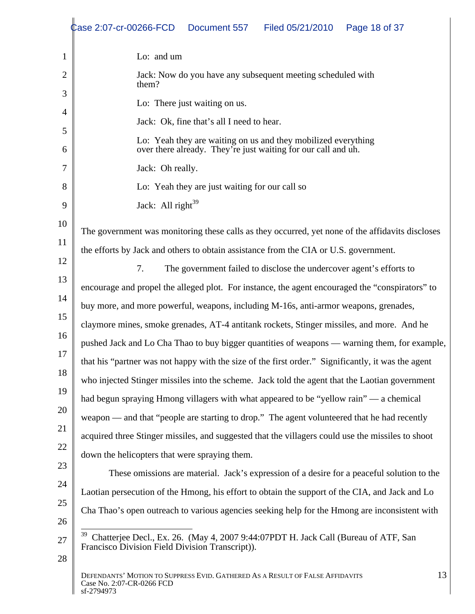|     | Case 2:07-cr-00266-FCD  Document 557<br>Page 18 of 37<br>Filed 05/21/2010                                                                                                                       |
|-----|-------------------------------------------------------------------------------------------------------------------------------------------------------------------------------------------------|
|     | Lo: and um                                                                                                                                                                                      |
|     | Jack: Now do you have any subsequent meeting scheduled with<br>them'                                                                                                                            |
|     | Lo: There just waiting on us.                                                                                                                                                                   |
|     | Jack: Ok, fine that's all I need to hear.                                                                                                                                                       |
|     | Lo: Yeah they are waiting on us and they mobilized everything<br>over there already. They're just waiting for our call and uh.                                                                  |
|     | Jack: Oh really.                                                                                                                                                                                |
|     | Lo: Yeah they are just waiting for our call so                                                                                                                                                  |
|     | Jack: All right <sup>39</sup>                                                                                                                                                                   |
|     | The government was monitoring these calls as they occurred, yet none of the affidavits discloses                                                                                                |
|     | the efforts by Jack and others to obtain assistance from the CIA or U.S. government.                                                                                                            |
|     | The government failed to disclose the undercover agent's efforts to                                                                                                                             |
|     | encourage and propel the alleged plot. For instance, the agent encouraged the "conspirators" to                                                                                                 |
|     | buy more, and more powerful, weapons, including M-16s, anti-armor weapons, grenades,                                                                                                            |
|     | claymore mines, smoke grenades, AT-4 antitank rockets, Stinger missiles, and more. And he                                                                                                       |
|     | pushed Jack and Lo Cha Thao to buy bigger quantities of weapons — warning them, for example,                                                                                                    |
| 18. | that his "partner was not happy with the size of the first order." Significantly, it was the agent                                                                                              |
| 19  | who injected Stinger missiles into the scheme. Jack told the agent that the Laotian government                                                                                                  |
|     | had begun spraying Hmong villagers with what appeared to be "yellow rain" — a chemical                                                                                                          |
|     | weapon — and that "people are starting to drop." The agent volunteered that he had recently                                                                                                     |
|     | acquired three Stinger missiles, and suggested that the villagers could use the missiles to shoot                                                                                               |
| 23. | down the helicopters that were spraying them.                                                                                                                                                   |
|     | These omissions are material. Jack's expression of a desire for a peaceful solution to the                                                                                                      |
|     | Laotian persecution of the Hmong, his effort to obtain the support of the CIA, and Jack and Lo<br>Cha Thao's open outreach to various agencies seeking help for the Hmong are inconsistent with |
| 26  |                                                                                                                                                                                                 |
|     | Chatterjee Decl., Ex. 26. (May 4, 2007 9:44:07PDT H. Jack Call (Bureau of ATF, San<br>Francisco Division Field Division Transcript)).                                                           |
| 28  | DEFENDANTS' MOTION TO SUPPRESS EVID. GATHERED AS A RESULT OF FALSE AFFIDAVITS                                                                                                                   |
|     | Case No. 2:07-CR-0266 FCD<br>sf-2794973                                                                                                                                                         |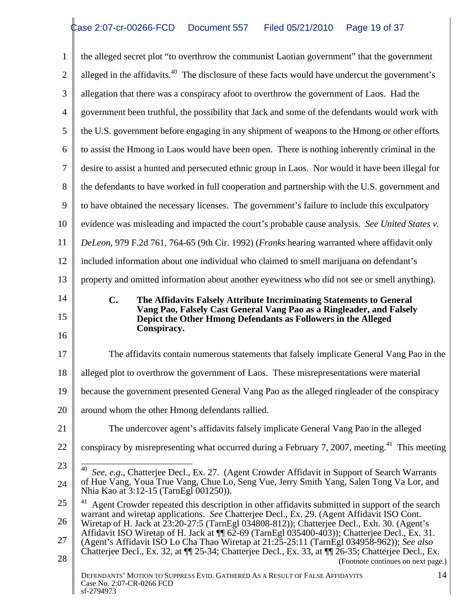1 the alleged secret plot "to overthrow the communist Laotian government" that the government 2 alleged in the affidavits.<sup>40</sup> The disclosure of these facts would have undercut the government's 3 allegation that there was a conspiracy afoot to overthrow the government of Laos. Had the 4 government been truthful, the possibility that Jack and some of the defendants would work with 5 the U.S. government before engaging in any shipment of weapons to the Hmong or other efforts 6 to assist the Hmong in Laos would have been open. There is nothing inherently criminal in the 7 desire to assist a hunted and persecuted ethnic group in Laos. Nor would it have been illegal for 8 the defendants to have worked in full cooperation and partnership with the U.S. government and 9 to have obtained the necessary licenses. The government's failure to include this exculpatory 10 vidence was misleading and impacted the court's probable cause analysis. *See United States v.* 11 *DeLeon*, 979 F.2d 761, 764-65 (9th Cir. 1992) (*Franks* hearing warranted where affidavit only 12 included information about one individual who claimed to smell marijuana on defendant's 13 | property and omitted information about another eyewitness who did not see or smell anything). 14 **C. The Affidavits Falsely Attribute Incriminating Statements to General**  15 **Depict the Other Hmong Defendants as Followers in the Alleged**   $\frac{16}{10}$ 17 The affidavits contain numerous statements that falsely implicate General Vang Pao in the 18 alleged plot to overthrow the government of Laos. These misrepresentations were material 19 because the government presented General Vang Pao as the alleged ringleader of the conspiracy 20 around whom the other Hmong defendants rallied. 21 The undercover agent's affidavits falsely implicate General Vang Pao in the alleged 22  $\parallel$  conspiracy by misrepresenting what occurred during a February 7, 2007, meeting.<sup>41</sup> This meeting  $\parallel$ 23  $\frac{1}{40}$  *See*, *e.g.*, Chatterjee Decl., Ex. 27. (Agent Crowder Affidavit in Support of Search Warrants 24 of Hue Vang, Youa True Vang, Chue Lo, Seng Vue, Jerry Smith Yang, Salen Tong Va Lor, and  $25 \parallel$ <sup>41</sup> Agent Crowder repeated this description in other affidavits submitted in support of the search  $\parallel$ 26 Wiretap of H. Jack at 23:20-27:5 (TarnEgl 034808-812)); Chatterjee Decl., Exh. 30. (Agent's 27 (Agent's Affidavit ISO Lo Cha Thao Wiretap at 21:25-25:11 (TarnEgl 034958-962)); *See also*  $28$  (Footnote continues on next page.) DEFENDANTS' MOTION TO SUPPRESS EVID. GATHERED AS A RESULT OF FALSE AFFIDAVITS Case No. 2:07-CR-0266 FCD  $\text{sf-2794973}$ 14 **Vang Pao, Falsely Cast General Vang Pao as a Ringleader, and Falsely Conspiracy.** Nhia Kao at 3:12-15 (TarnEgl 001250)). warrant and wiretap applications. *See* Chatterjee Decl., Ex. 29. (Agent Affidavit ISO Cont. Affidavit ISO Wiretap of H. Jack at  $\P$  62-69 (TarnEgl 035400-403)); Chatterjee Decl., Ex. 31. Chatterjee Decl., Ex. 32, at ¶¶ 25-34; Chatterjee Decl., Ex. 33, at ¶¶ 26-35; Chatterjee Decl., Ex.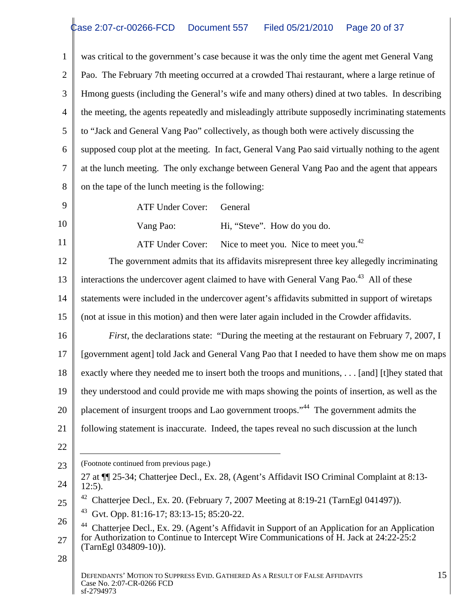was critical to the government's case because it was the only time the agent met General Vang 2 | Pao. The February 7th meeting occurred at a crowded Thai restaurant, where a large retinue of Hmong guests (including the General's wife and many others) dined at two tables. In describing 4 the meeting, the agents repeatedly and misleadingly attribute supposedly incriminating statements to "Jack and General Vang Pao" collectively, as though both were actively discussing the supposed coup plot at the meeting. In fact, General Vang Pao said virtually nothing to the agent at the lunch meeting. The only exchange between General Vang Pao and the agent that appears 8 on the tape of the lunch meeting is the following:

 $9 \parallel$  ATF Under Cover: General

10 Vang Pao: Hi, "Steve". How do you do. ATF Under Cover: General <br>Vang Pao: Hi, "Steve". How do you do.

11 ATF Under Cover: Nice to meet you. Nice to meet you.<sup>42</sup>

The government admits that its affidavits misrepresent three key allegedly incriminating<br>
The government admits that its affidavits misrepresent three key allegedly incriminating 13 interactions the undercover agent claimed to have with General Vang Pao.<sup>43</sup> All of these 14 statements were included in the undercover agent's affidavits submitted in support of wiretaps 15 (not at issue in this motion) and then were later again included in the Crowder affidavits.

16 *First*, the declarations state: "During the meeting at the restaurant on February 7, 2007, I 17 | [government agent] told Jack and General Vang Pao that I needed to have them show me on maps | 18 exactly where they needed me to insert both the troops and munitions, . . . [and] [t]hey stated that | 19 they understood and could provide me with maps showing the points of insertion, as well as the 20 | placement of insurgent troops and Lao government troops."<sup>44</sup> The government admits the

- 21 | following statement is inaccurate. Indeed, the tapes reveal no such discussion at the lunch
- 22  $\parallel$

23 CFootnote continued from previous page.)

- $24$  | 12:5). 27 at ¶¶ 25-34; Chatterjee Decl., Ex. 28, (Agent's Affidavit ISO Criminal Complaint at 8:13- 12:5).
- $_{25}$   $\parallel$  <sup>42</sup> Chatterjee Decl., Ex. 20. (February 7, 2007 Meeting at 8:19-21 (TarnEgl 041497)).

43 Gvt. Opp. 81:16-17; 83:13-15; 85:20-22.

26 44 Chatterjee Decl., Ex. 29. (Agent's Affidavit in Support of an Application for an Application  $27 \parallel$  for Authorization to Continue to Intercept Wire Communications of H. Jack at 24:22-25:2 (TarnEgl 034809-10)).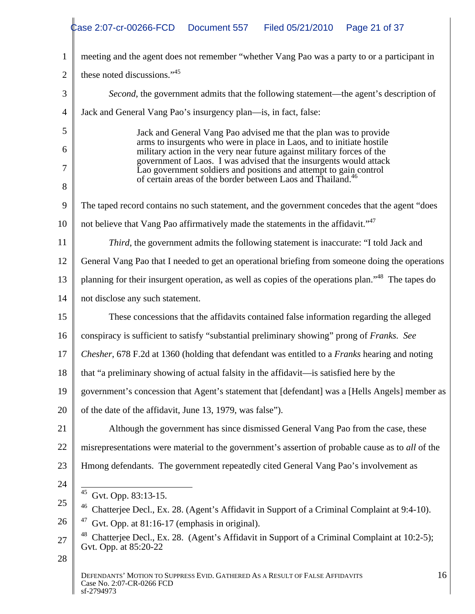|      | Case 2:07-cr-00266-FCD Document 557 Filed 05/21/2010 Page 21 of 37                                                                                                                                                                                                                         |
|------|--------------------------------------------------------------------------------------------------------------------------------------------------------------------------------------------------------------------------------------------------------------------------------------------|
|      | meeting and the agent does not remember "whether Vang Pao was a party to or a participant in                                                                                                                                                                                               |
|      | these noted discussions." <sup>45</sup>                                                                                                                                                                                                                                                    |
|      | Second, the government admits that the following statement—the agent's description of                                                                                                                                                                                                      |
|      | Jack and General Vang Pao's insurgency plan—is, in fact, false:                                                                                                                                                                                                                            |
|      |                                                                                                                                                                                                                                                                                            |
|      | Jack and General Vang Pao advised me that the plan was to provide<br>arms to insurgents who were in place in Laos, and to initiate hostile<br>military action in the very near future against military forces of the<br>government of Laos. I was advised that the insurgents would attack |
|      |                                                                                                                                                                                                                                                                                            |
|      | Lao government soldiers and positions and attempt to gain control<br>of certain areas of the border between Laos and Thailand. <sup>46</sup>                                                                                                                                               |
|      | 9 The taped record contains no such statement, and the government concedes that the agent "does"                                                                                                                                                                                           |
|      | 10    not believe that Vang Pao affirmatively made the statements in the affidavit." $4^{47}$                                                                                                                                                                                              |
|      | Third, the government admits the following statement is inaccurate: "I told Jack and                                                                                                                                                                                                       |
|      | 12 Ceneral Vang Pao that I needed to get an operational briefing from some one doing the operations                                                                                                                                                                                        |
|      | planning for their insurgent operation, as well as copies of the operations plan." <sup>48</sup> The tapes do                                                                                                                                                                              |
|      | not disclose any such statement.                                                                                                                                                                                                                                                           |
| 15   | These concessions that the affidavits contained false information regarding the alleged                                                                                                                                                                                                    |
|      |                                                                                                                                                                                                                                                                                            |
|      | 16 conspiracy is sufficient to satisfy "substantial preliminary showing" prong of Franks. See                                                                                                                                                                                              |
|      | 17 <i>Chesher</i> , 678 F.2d at 1360 (holding that defendant was entitled to a <i>Franks</i> hearing and noting                                                                                                                                                                            |
|      | 18 that "a preliminary showing of actual falsity in the affidavit—is satisfied here by the                                                                                                                                                                                                 |
|      | 19 government's concession that Agent's statement that [defendant] was a [Hells Angels] member as                                                                                                                                                                                          |
| 20 I | of the date of the affidavit, June 13, 1979, was false").                                                                                                                                                                                                                                  |
|      | Although the government has since dismissed General Vang Pao from the case, these                                                                                                                                                                                                          |
|      | misrepresentations were material to the government's assertion of probable cause as to all of the                                                                                                                                                                                          |
|      | Hmong defendants. The government repeatedly cited General Vang Pao's involvement as                                                                                                                                                                                                        |
|      |                                                                                                                                                                                                                                                                                            |
|      | $45$ Gvt. Opp. 83:13-15.<br><sup>46</sup> Chatterjee Decl., Ex. 28. (Agent's Affidavit in Support of a Criminal Complaint at 9:4-10).                                                                                                                                                      |
|      | $47$ Gvt. Opp. at 81:16-17 (emphasis in original).                                                                                                                                                                                                                                         |
|      | <sup>48</sup> Chatterjee Decl., Ex. 28. (Agent's Affidavit in Support of a Criminal Complaint at 10:2-5);<br>Gvt. Opp. at 85:20-22                                                                                                                                                         |
| 28   |                                                                                                                                                                                                                                                                                            |
|      | DEFENDANTS' MOTION TO SUPPRESS EVID. GATHERED AS A RESULT OF FALSE AFFIDAVITS<br>16<br>Case No. 2:07-CR-0266 FCD<br>sf-2794973                                                                                                                                                             |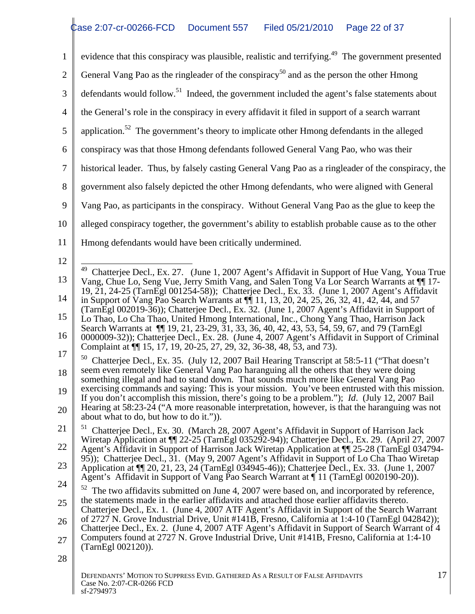|                 | evidence that this conspiracy was plausible, realistic and terrifying. <sup>49</sup> The government presented                                                                                                                                                                                                                                                                            |  |
|-----------------|------------------------------------------------------------------------------------------------------------------------------------------------------------------------------------------------------------------------------------------------------------------------------------------------------------------------------------------------------------------------------------------|--|
|                 | General Vang Pao as the ringleader of the conspiracy <sup>50</sup> and as the person the other Hmong                                                                                                                                                                                                                                                                                     |  |
|                 | defendants would follow. <sup>51</sup> Indeed, the government included the agent's false statements about                                                                                                                                                                                                                                                                                |  |
|                 | the General's role in the conspiracy in every affidavit it filed in support of a search warrant                                                                                                                                                                                                                                                                                          |  |
|                 | application. <sup>52</sup> The government's theory to implicate other Hmong defendants in the alleged                                                                                                                                                                                                                                                                                    |  |
|                 | 6 conspiracy was that those Hmong defendants followed General Vang Pao, who was their                                                                                                                                                                                                                                                                                                    |  |
|                 | historical leader. Thus, by falsely casting General Vang Pao as a ringleader of the conspiracy, the                                                                                                                                                                                                                                                                                      |  |
|                 | government also falsely depicted the other Hmong defendants, who were aligned with General                                                                                                                                                                                                                                                                                               |  |
|                 | 9   Vang Pao, as participants in the conspiracy. Without General Vang Pao as the glue to keep the                                                                                                                                                                                                                                                                                        |  |
| 10 <sup>1</sup> | alleged conspiracy together, the government's ability to establish probable cause as to the other                                                                                                                                                                                                                                                                                        |  |
|                 | Hmong defendants would have been critically undermined.                                                                                                                                                                                                                                                                                                                                  |  |
|                 |                                                                                                                                                                                                                                                                                                                                                                                          |  |
| 13<br>14        | <sup>49</sup> Chatterjee Decl., Ex. 27. (June 1, 2007 Agent's Affidavit in Support of Hue Vang, Youa True<br>Vang, Chue Lo, Seng Vue, Jerry Smith Vang, and Salen Tong Va Lor Search Warrants at ¶ 17-<br>19, 21, 24-25 (TarnEgl 001254-58)); Chatterjee Decl., Ex. 33. (June 1, 2007 Agent's Affidavit                                                                                  |  |
| 15              | in Support of Vang Pao Search Warrants at $\P$ 11, 13, 20, 24, 25, 26, 32, 41, 42, 44, and 57<br>(TarnEgl 002019-36)); Chatterjee Decl., Ex. 32. (June 1, 2007 Agent's Affidavit in Support of<br>Lo Thao, Lo Cha Thao, United Hmong International, Inc., Chong Yang Thao, Harrison Jack<br>Search Warrants at 11 19, 21, 23-29, 31, 33, 36, 40, 42, 43, 53, 54, 59, 67, and 79 (TarnEgl |  |
| l 6             | 0000009-32)); Chatterjee Decl., Ex. 28. (June 4, 2007 Agent's Affidavit in Support of Criminal<br>Complaint at $\P$ 15, 17, 19, 20-25, 27, 29, 32, 36-38, 48, 53, and 73).                                                                                                                                                                                                               |  |
| 17<br>8         | <sup>50</sup> Chatterjee Decl., Ex. 35. (July 12, 2007 Bail Hearing Transcript at 58:5-11 ("That doesn't<br>seem even remotely like General Vang Pao haranguing all the others that they were doing<br>something illegal and had to stand down. That sounds much more like General Vang Pao                                                                                              |  |
| 19 I            | exercising commands and saying: This is your mission. You've been entrusted with this mission.<br>If you don't accomplish this mission, there's going to be a problem."); <i>Id.</i> (July 12, 2007 Bail                                                                                                                                                                                 |  |
|                 | Hearing at 58:23-24 ("A more reasonable interpretation, however, is that the haranguing was not<br>about what to do, but how to do it.")).                                                                                                                                                                                                                                               |  |
|                 | <sup>51</sup> Chatterjee Decl., Ex. 30. (March 28, 2007 Agent's Affidavit in Support of Harrison Jack<br>Wiretap Application at $\P$ 22-25 (TarnEgl 035292-94)); Chatterjee Decl., Ex. 29. (April 27, 2007                                                                                                                                                                               |  |
| 22              | Agent's Affidavit in Support of Harrison Jack Wiretap Application at ¶ 25-28 (TarnEgl 034794-<br>95)); Chatterjee Decl., 31. (May 9, 2007 Agent's Affidavit in Support of Lo Cha Thao Wiretap                                                                                                                                                                                            |  |
| 23              | Application at ¶ 20, 21, 23, 24 (TarnEgl 034945-46)); Chatterjee Decl., Ex. 33. (June 1, 2007<br>Agent's Affidavit in Support of Vang Pao Search Warrant at $\P$ 11 (TarnEgl 0020190-20)).                                                                                                                                                                                               |  |
| 24              | $52$ The two affidavits submitted on June 4, 2007 were based on, and incorporated by reference,                                                                                                                                                                                                                                                                                          |  |
|                 | the statements made in the earlier affidavits and attached those earlier affidavits thereto.<br>Chatterjee Decl., Ex. 1. (June 4, 2007 ATF Agent's Affidavit in Support of the Search Warrant                                                                                                                                                                                            |  |
|                 | of 2727 N. Grove Industrial Drive, Unit #141B, Fresno, California at 1:4-10 (TarnEgl 042842));<br>Chatterjee Decl., Ex. 2. (June 4, 2007 ATF Agent's Affidavit in Support of Search Warrant of 4                                                                                                                                                                                         |  |
|                 | Computers found at 2727 N. Grove Industrial Drive, Unit #141B, Fresno, California at 1:4-10<br>(TarnEgl 002120)).                                                                                                                                                                                                                                                                        |  |
| 28              |                                                                                                                                                                                                                                                                                                                                                                                          |  |
|                 | DEFENDANTS' MOTION TO SUPPRESS EVID. GATHERED AS A RESULT OF FALSE AFFIDAVITS                                                                                                                                                                                                                                                                                                            |  |

 $\mathbf{I}$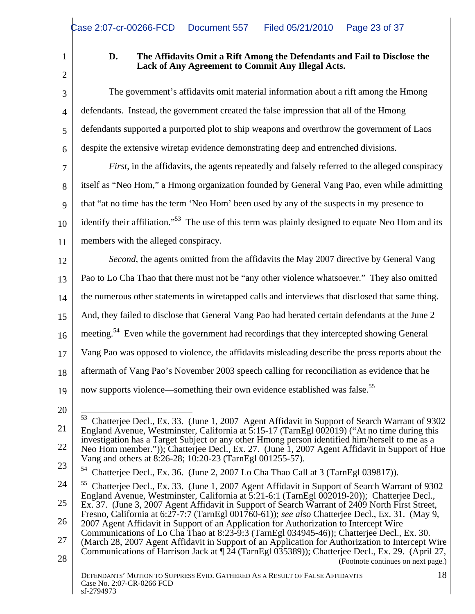2 |  $\blacksquare$ 

# 1 **D. The Affidavits Omit a Rift Among the Defendants and Fail to Disclose the Lack of Any Agreement to Commit Any Illegal Acts.**

|      | The government's affidavits omit material information about a rift among the Hmong                                                                                                                          |
|------|-------------------------------------------------------------------------------------------------------------------------------------------------------------------------------------------------------------|
|      | defendants. Instead, the government created the false impression that all of the Hmong                                                                                                                      |
|      | defendants supported a purported plot to ship weapons and overthrow the government of Laos                                                                                                                  |
|      | $6 \parallel$ despite the extensive wiretap evidence demonstrating deep and entrenched divisions.                                                                                                           |
|      | <i>First</i> , in the affidavits, the agents repeatedly and falsely referred to the alleged conspiracy                                                                                                      |
|      | 8   itself as "Neo Hom," a Hmong organization founded by General Vang Pao, even while admitting                                                                                                             |
|      | 9 that "at no time has the term 'Neo Hom' been used by any of the suspects in my presence to                                                                                                                |
|      | $_{10}$   identify their affiliation." <sup>53</sup> The use of this term was plainly designed to equate Neo Hom and its                                                                                    |
|      | members with the alleged conspiracy.                                                                                                                                                                        |
| 12   | Second, the agents omitted from the affidavits the May 2007 directive by General Vang                                                                                                                       |
|      | Pao to Lo Cha Thao that there must not be "any other violence whatsoever." They also omitted                                                                                                                |
|      | the numerous other statements in wiretapped calls and interviews that disclosed that same thing.                                                                                                            |
|      | And, they failed to disclose that General Vang Pao had berated certain defendants at the June 2                                                                                                             |
|      | $16 \parallel$ meeting. <sup>54</sup> Even while the government had recordings that they intercepted showing General                                                                                        |
|      | Vang Pao was opposed to violence, the affidavits misleading describe the press reports about the                                                                                                            |
| 18 I | aftermath of Vang Pao's November 2003 speech calling for reconciliation as evidence that he                                                                                                                 |
|      | 19 $\parallel$ now supports violence—something their own evidence established was false. <sup>55</sup>                                                                                                      |
|      |                                                                                                                                                                                                             |
|      | <sup>53</sup> Chatterjee Decl., Ex. 33. (June 1, 2007 Agent Affidavit in Support of Search Warrant of 9302                                                                                                  |
|      | England Avenue, Westminster, California at $\overline{5:15-17}$ (TarnEgl 002019) ("At no time during this<br>investigation has a Target Subject or any other Hmong person identified him/herself to me as a |
|      | Neo Hom member.")); Chatterjee Decl., Ex. 27. (June 1, 2007 Agent Affidavit in Support of Hue<br>Vang and others at 8:26-28; 10:20-23 (TarnEgl 001255-57).                                                  |
| 23   | <sup>54</sup> Chatterjee Decl., Ex. 36. (June 2, 2007 Lo Cha Thao Call at 3 (TarnEgl 039817)).                                                                                                              |
|      | <sup>55</sup> Chatterjee Decl., Ex. 33. (June 1, 2007 Agent Affidavit in Support of Search Warrant of 9302<br>England Avenue, Westminster, California at 5:21-6:1 (TarnEgl 002019-20)); Chatterjee Decl.,   |
|      | Ex. 37. (June 3, 2007 Agent Affidavit in Support of Search Warrant of 2409 North First Street,<br>Fresno, California at 6:27-7:7 (TarnEgl 001760-61)); see also Chatterjee Decl., Ex. 31. (May 9,           |
| 26   | 2007 Agent Affidavit in Support of an Application for Authorization to Intercept Wire<br>Communications of Lo Cha Thao at 8:23-9:3 (TarnEgl 034945-46)); Chatterjee Decl., Ex. 30.                          |
|      | (March 28, 2007 Agent Affidavit in Support of an Application for Authorization to Intercept Wire<br>Communications of Harrison Jack at $\sqrt{24}$ (TarnEgl 035389)); Chatterjee Decl., Ex. 29. (April 27,  |
| 28   | (Footnote continues on next page.)                                                                                                                                                                          |
|      | DEFENDANTS' MOTION TO SUPPRESS EVID. GATHERED AS A RESULT OF FALSE AFFIDAVITS<br>Case No. 2:07-CR-0266 FCD<br>sf-2794973                                                                                    |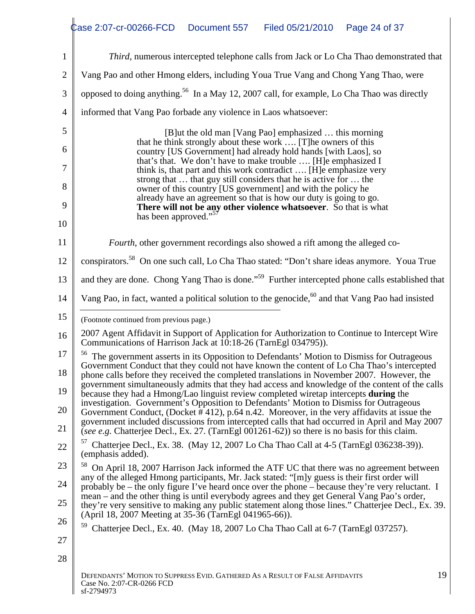|      | Third, numerous intercepted telephone calls from Jack or Lo Cha Thao demonstrated that                                                                                                                                                                       |
|------|--------------------------------------------------------------------------------------------------------------------------------------------------------------------------------------------------------------------------------------------------------------|
|      | Vang Pao and other Hmong elders, including Youa True Vang and Chong Yang Thao, were                                                                                                                                                                          |
|      | opposed to doing anything. <sup>56</sup> In a May 12, 2007 call, for example, Lo Cha Thao was directly                                                                                                                                                       |
|      | informed that Vang Pao forbade any violence in Laos whatsoever:                                                                                                                                                                                              |
|      | [B] ut the old man [Vang Pao] emphasized  this morning                                                                                                                                                                                                       |
|      | that he think strongly about these work  [T] he owners of this<br>country [US Government] had already hold hands [with Laos], so                                                                                                                             |
|      | that's that. We don't have to make trouble  [H]e emphasized I<br>think is, that part and this work contradict  [H]e emphasize very                                                                                                                           |
|      | strong that  that guy still considers that he is active for  the<br>owner of this country [US government] and with the policy he                                                                                                                             |
|      | already have an agreement so that is how our duty is going to go.<br>There will not be any other violence whatsoever. So that is what                                                                                                                        |
|      | has been approved." <sup>5</sup>                                                                                                                                                                                                                             |
|      | Fourth, other government recordings also showed a rift among the alleged co-                                                                                                                                                                                 |
| 12 I | conspirators. <sup>58</sup> On one such call, Lo Cha Thao stated: "Don't share ideas anymore. Youa True                                                                                                                                                      |
| 13   | and they are done. Chong Yang Thao is done." <sup>59</sup> Further intercepted phone calls established that                                                                                                                                                  |
| 14 I | Vang Pao, in fact, wanted a political solution to the genocide, <sup>60</sup> and that Vang Pao had insisted                                                                                                                                                 |
|      | (Footnote continued from previous page.)                                                                                                                                                                                                                     |
|      | 2007 Agent Affidavit in Support of Application for Authorization to Continue to Intercept Wire<br>Communications of Harrison Jack at 10:18-26 (TarnEgl 034795)).                                                                                             |
|      | <sup>56</sup> The government asserts in its Opposition to Defendants' Motion to Dismiss for Outrageous<br>Government Conduct that they could not have known the content of Lo Cha Thao's intercepted                                                         |
| 18   | phone calls before they received the completed translations in November 2007. However, the                                                                                                                                                                   |
| 19 I | government simultaneously admits that they had access and knowledge of the content of the calls<br>because they had a Hmong/Lao linguist review completed wiretap intercepts during the                                                                      |
| 20   | investigation. Government's Opposition to Defendants' Motion to Dismiss for Outrageous<br>Government Conduct, (Docket $\#$ 412), p.64 n.42. Moreover, in the very affidavits at issue the                                                                    |
|      | government included discussions from intercepted calls that had occurred in April and May 2007<br>(see e.g. Chatterjee Decl., Ex. 27. (TarnEgl $001261-62$ )) so there is no basis for this claim.                                                           |
| 22   | Chatterjee Decl., Ex. 38. (May 12, 2007 Lo Cha Thao Call at 4-5 (TarnEgl 036238-39)).<br>(emphasis added).                                                                                                                                                   |
| 23   | <sup>58</sup> On April 18, 2007 Harrison Jack informed the ATF UC that there was no agreement between<br>any of the alleged Hmong participants, Mr. Jack stated: "[m]y guess is their first order will                                                       |
| 24   | probably be – the only figure I've heard once over the phone – because they're very reluctant. I                                                                                                                                                             |
| 25   | mean – and the other thing is until everybody agrees and they get General Vang Pao's order,<br>they're very sensitive to making any public statement along those lines." Chatterjee Decl., Ex. 39.<br>(April 18, 2007 Meeting at 35-36 (TarnEgl 041965-66)). |
| 26   | Chatterjee Decl., Ex. 40. (May 18, 2007 Lo Cha Thao Call at 6-7 (TarnEgl 037257).                                                                                                                                                                            |
| 27   |                                                                                                                                                                                                                                                              |
| 28   |                                                                                                                                                                                                                                                              |
|      | DEFENDANTS' MOTION TO SUPPRESS EVID. GATHERED AS A RESULT OF FALSE AFFIDAVITS<br>Case No. 2:07-CR-0266 FCD                                                                                                                                                   |

 $\text{sf-2794973}$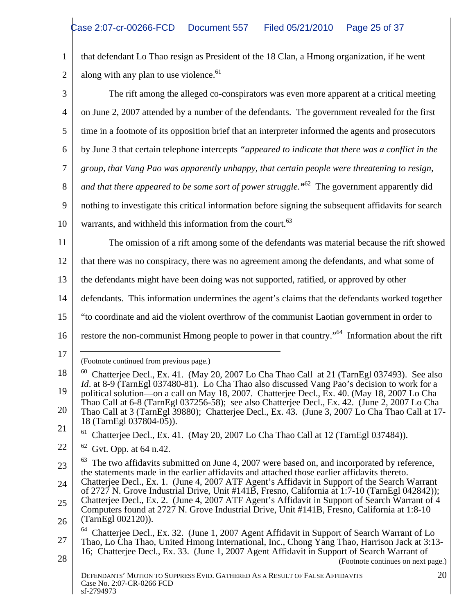1 that defendant Lo Thao resign as President of the 18 Clan, a Hmong organization, if he went 2 along with any plan to use violence.<sup>61</sup>

|      | along with any plan to use violence. <sup>61</sup>                                                                                                                                                       |
|------|----------------------------------------------------------------------------------------------------------------------------------------------------------------------------------------------------------|
|      | The rift among the alleged co-conspirators was even more apparent at a critical meeting                                                                                                                  |
|      | on June 2, 2007 attended by a number of the defendants. The government revealed for the first                                                                                                            |
|      | time in a footnote of its opposition brief that an interpreter informed the agents and prosecutors                                                                                                       |
|      | 6   by June 3 that certain telephone intercepts "appeared to indicate that there was a conflict in the                                                                                                   |
|      | group, that Vang Pao was apparently unhappy, that certain people were threatening to resign,                                                                                                             |
|      | 8   and that there appeared to be some sort of power struggle." <sup>62</sup> The government apparently did                                                                                              |
|      | nothing to investigate this critical information before signing the subsequent affidavits for search                                                                                                     |
|      | 10 warrants, and withheld this information from the court. <sup>63</sup>                                                                                                                                 |
|      | The omission of a rift among some of the defendants was material because the rift showed                                                                                                                 |
|      |                                                                                                                                                                                                          |
|      | that there was no conspiracy, there was no agreement among the defendants, and what some of                                                                                                              |
|      | the defendants might have been doing was not supported, ratified, or approved by other                                                                                                                   |
|      | defendants. This information undermines the agent's claims that the defendants worked together                                                                                                           |
|      | "to coordinate and aid the violent overthrow of the communist Laotian government in order to                                                                                                             |
| 16 I | restore the non-communist Hmong people to power in that country." <sup>64</sup> Information about the rift                                                                                               |
|      |                                                                                                                                                                                                          |
|      | (Footnote continued from previous page.)                                                                                                                                                                 |
|      | $^{60}$ Chatterjee Decl., Ex. 41. (May 20, 2007 Lo Cha Thao Call at 21 (TarnEgl 037493). See also<br><i>Id.</i> at 8-9 (TarnEgl 037480-81). Lo Cha Thao also discussed Vang Pao's decision to work for a |
|      | political solution—on a call on May 18, 2007. Chatterjee Decl., Ex. 40. (May 18, 2007 Lo Cha<br>Thao Call at 6-8 (TarnEgl 037256-58); see also Chatterjee Decl., Ex. 42. (June 2, 2007 Lo Cha            |
|      | Thao Call at 3 (TarnEgl 39880); Chatterjee Decl., Ex. 43. (June 3, 2007 Lo Cha Thao Call at 17-<br>18 (TarnEgl 037804-05)).                                                                              |
|      | $61$ Chatterjee Decl., Ex. 41. (May 20, 2007 Lo Cha Thao Call at 12 (TarnEgl 037484)).                                                                                                                   |
|      | $62$ Gvt. Opp. at 64 n.42.                                                                                                                                                                               |
|      | The two affidavits submitted on June 4, 2007 were based on, and incorporated by reference,<br>the statements made in the earlier affidavits and attached those earlier affidavits thereto.               |
|      | Chatterjee Decl., Ex. 1. (June 4, 2007 ATF Agent's Affidavit in Support of the Search Warrant<br>of 2727 N. Grove Industrial Drive, Unit #141B, Fresno, California at 1:7-10 (TarnEgl 042842));          |
|      | Chatterjee Decl., Ex. 2. (June 4, 2007 ATF Agent's Affidavit in Support of Search Warrant of 4                                                                                                           |
| 26   | Computers found at 2727 N. Grove Industrial Drive, Unit #141B, Fresno, California at 1:8-10<br>(TarnEgl 002120)).                                                                                        |
|      | <sup>64</sup> Chatterjee Decl., Ex. 32. (June 1, 2007 Agent Affidavit in Support of Search Warrant of Lo<br>Thao, Lo Cha Thao, United Hmong International, Inc., Chong Yang Thao, Harrison Jack at 3:13- |
| 28   | 16; Chatterjee Decl., Ex. 33. (June 1, 2007 Agent Affidavit in Support of Search Warrant of                                                                                                              |
|      | (Footnote continues on next page.)<br>20<br>DEFENDANTS' MOTION TO SUPPRESS EVID. GATHERED AS A RESULT OF FALSE AFFIDAVITS                                                                                |
|      | Case No. 2:07-CR-0266 FCD<br>sf-2794973                                                                                                                                                                  |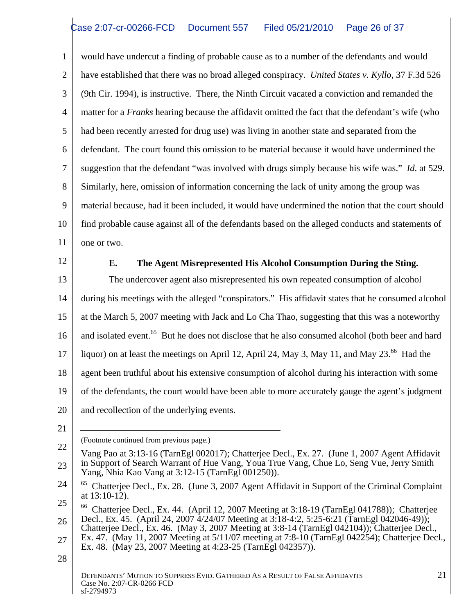1 would have undercut a finding of probable cause as to a number of the defendants and would 2 have established that there was no broad alleged conspiracy. *United States v. Kyllo*, 37 F.3d 526 3 (9th Cir. 1994), is instructive. There, the Ninth Circuit vacated a conviction and remanded the 4 matter for a *Franks* hearing because the affidavit omitted the fact that the defendant's wife (who 5 had been recently arrested for drug use) was living in another state and separated from the 6 defendant. The court found this omission to be material because it would have undermined the 7 suggestion that the defendant "was involved with drugs simply because his wife was." *Id*. at 529. 8 Similarly, here, omission of information concerning the lack of unity among the group was 9 material because, had it been included, it would have undermined the notion that the court should 10 find probable cause against all of the defendants based on the alleged conducts and statements of  $\parallel$ 11 one or two. one or two.

# 12 **E. The Agent Misrepresented His Alcohol Consumption During the Sting.**

13 The undercover agent also misrepresented his own repeated consumption of alcohol 14 during his meetings with the alleged "conspirators." His affidavit states that he consumed alcohol 15  $\parallel$  at the March 5, 2007 meeting with Jack and Lo Cha Thao, suggesting that this was a noteworthy 16  $\parallel$  and isolated event.<sup>65</sup> But he does not disclose that he also consumed alcohol (both beer and hard 17 iiquor) on at least the meetings on April 12, April 24, May 3, May 11, and May 23.<sup>66</sup> Had the 18 agent been truthful about his extensive consumption of alcohol during his interaction with some 19 of the defendants, the court would have been able to more accurately gauge the agent's judgment 20 and recollection of the underlying events.

21 |  $\overline{\phantom{a}}$   $\overline{\phantom{a}}$   $\overline{\phantom{a}}$   $\overline{\phantom{a}}$   $\overline{\phantom{a}}$   $\overline{\phantom{a}}$   $\overline{\phantom{a}}$   $\overline{\phantom{a}}$   $\overline{\phantom{a}}$   $\overline{\phantom{a}}$   $\overline{\phantom{a}}$   $\overline{\phantom{a}}$   $\overline{\phantom{a}}$   $\overline{\phantom{a}}$   $\overline{\phantom{a}}$   $\overline{\phantom{a}}$   $\overline{\phantom{a}}$   $\overline{\phantom{a}}$ 

<sup>(</sup>Footnote continued from previous page.)

 $22 \parallel$ 23  $\parallel$  in Support of Search Warrant of Hue Vang, Youa True Vang, Chue Lo, Seng Vue, Jerry Smith Vang Pao at 3:13-16 (TarnEgl 002017); Chatterjee Decl., Ex. 27. (June 1, 2007 Agent Affidavit Yang, Nhia Kao Vang at 3:12-15 (TarnEgl 001250)).

 $24 \parallel$ <sup>65</sup> Chatterjee Decl., Ex. 28. (June 3, 2007 Agent Affidavit in Support of the Criminal Complaint  $\parallel$  $\alpha$  at 13:10-12).

 $25 \n\Big|$  <sup>66</sup> Chatterjee Decl., Ex. 44. (April 12, 2007 Meeting at 3:18-19 (TarnEgl 041788)); Chatterjee 26 Decl., Ex. 45. (April 24, 2007 4/24/07 Meeting at 3:18-4:2, 5:25-6:21 (TarnEgl 042046-49)); Chatterjee Decl., Ex. 46. (May 3, 2007 Meeting at 3:8-14 (TarnEgl 042104)); Chatterjee Decl.,

 $27 \parallel$  Ex. 47. (May 11, 2007 Meeting at 5/11/07 meeting at 7:8-10 (TarnEgl 042254); Chatterjee Decl., Ex. 48. (May 23, 2007 Meeting at 4:23-25 (TarnEgl 042357)).

 $28 \parallel$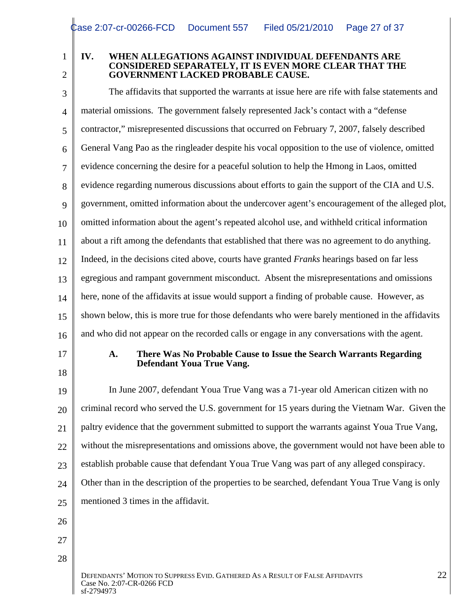## 1 **IV. WHEN ALLEGATIONS AGAINST INDIVIDUAL DEFENDANTS ARE**  2 GOVERNMENT LACKED PROBABLE CAUSE. **CONSIDERED SEPARATELY, IT IS EVEN MORE CLEAR THAT THE**

3 The affidavits that supported the warrants at issue here are rife with false statements and 4 material omissions. The government falsely represented Jack's contact with a "defense 5 contractor," misrepresented discussions that occurred on February 7, 2007, falsely described 6 General Vang Pao as the ringleader despite his vocal opposition to the use of violence, omitted 7 vidence concerning the desire for a peaceful solution to help the Hmong in Laos, omitted 8 vidence regarding numerous discussions about efforts to gain the support of the CIA and U.S. g | government, omitted information about the undercover agent's encouragement of the alleged plot, 10 omitted information about the agent's repeated alcohol use, and withheld critical information 11 about a rift among the defendants that established that there was no agreement to do anything.<br>12 Indeed, in the decisions cited above, courts have granted *Franks* hearings based on far less 12 Indeed, in the decisions cited above, courts have granted Franks hearings based on far less 13 egregious and rampant government misconduct. Absent the misrepresentations and omissions 14 ere, none of the affidavits at issue would support a finding of probable cause. However, as 15 Shown below, this is more true for those defendants who were barely mentioned in the affidavits 16 and who did not appear on the recorded calls or engage in any conversations with the agent. 17 **A. There Was No Probable Cause to Issue the Search Warrants Regarding**  $\frac{18}{18}$ 19 In June 2007, defendant Youa True Vang was a 71-year old American citizen with no  $_{20}$   $\parallel$  criminal record who served the U.S. government for 15 years during the Vietnam War. Given the  $\parallel$ **Defendant Youa True Vang.** 

21 | paltry evidence that the government submitted to support the warrants against Youa True Vang,

 $22 \parallel$  without the misrepresentations and omissions above, the government would not have been able to

- 23 establish probable cause that defendant Youa True Vang was part of any alleged conspiracy.
- 24 Other than in the description of the properties to be searched, defendant Youa True Vang is only 25 mentioned 3 times in the affidavit.

 $26 \parallel$ 

27  $\parallel$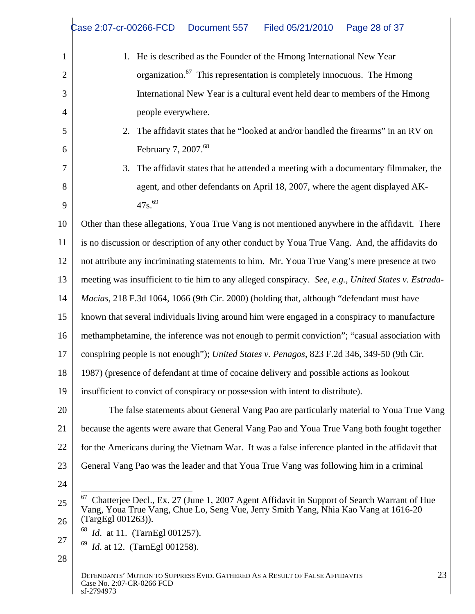|      | Case 2:07-cr-00266-FCD<br>Filed 05/21/2010  Page 28 of 37<br>Document 557                                                                                                                                             |
|------|-----------------------------------------------------------------------------------------------------------------------------------------------------------------------------------------------------------------------|
|      | He is described as the Founder of the Hmong International New Year                                                                                                                                                    |
|      | organization. <sup>67</sup> This representation is completely innocuous. The Hmong                                                                                                                                    |
|      | International New Year is a cultural event held dear to members of the Hmong                                                                                                                                          |
|      | people everywhere.                                                                                                                                                                                                    |
|      | 2. The affidavit states that he "looked at and/or handled the firearms" in an RV on                                                                                                                                   |
|      | February 7, 2007. <sup>68</sup>                                                                                                                                                                                       |
|      | 3. The affidavit states that he attended a meeting with a documentary filmmaker, the                                                                                                                                  |
|      | agent, and other defendants on April 18, 2007, where the agent displayed AK-                                                                                                                                          |
|      | $47s^{69}$                                                                                                                                                                                                            |
|      | 10 Other than these allegations, Youa True Vang is not mentioned anywhere in the affidavit. There                                                                                                                     |
|      | $\parallel$ is no discussion or description of any other conduct by Youa True Vang. And, the affidavits do                                                                                                            |
|      | not attribute any incriminating statements to him. Mr. Youa True Vang's mere presence at two                                                                                                                          |
|      | meeting was insufficient to tie him to any alleged conspiracy. See, e.g., United States v. Estrada-                                                                                                                   |
| 14   | <i>Macias</i> , 218 F.3d 1064, 1066 (9th Cir. 2000) (holding that, although "defendant must have                                                                                                                      |
|      | known that several individuals living around him were engaged in a conspiracy to manufacture                                                                                                                          |
|      | 16 methamphetamine, the inference was not enough to permit conviction"; "casual association with                                                                                                                      |
|      | conspiring people is not enough"); United States v. Penagos, 823 F.2d 346, 349-50 (9th Cir.                                                                                                                           |
| 18 I | 1987) (presence of defendant at time of cocaine delivery and possible actions as lookout                                                                                                                              |
|      | 19 $\parallel$ insufficient to convict of conspiracy or possession with intent to distribute).                                                                                                                        |
| 20   | The false statements about General Vang Pao are particularly material to Youa True Vang                                                                                                                               |
|      | because the agents were aware that General Vang Pao and Youa True Vang both fought together                                                                                                                           |
| 22   | for the Americans during the Vietnam War. It was a false inference planted in the affidavit that                                                                                                                      |
| 23 I | General Vang Pao was the leader and that Youa True Vang was following him in a criminal                                                                                                                               |
| 24   |                                                                                                                                                                                                                       |
| 26   | <sup>67</sup> Chatterjee Decl., Ex. 27 (June 1, 2007 Agent Affidavit in Support of Search Warrant of Hue<br>Vang, Youa True Vang, Chue Lo, Seng Vue, Jerry Smith Yang, Nhia Kao Vang at 1616-20<br>(TargEgl 001263)). |
| 27   | $^{68}$ <i>Id.</i> at 11. (TarnEgl 001257).                                                                                                                                                                           |
| 28   | $^{69}$ <i>Id.</i> at 12. (TarnEgl 001258).                                                                                                                                                                           |
|      | 23<br>DEFENDANTS' MOTION TO SUPPRESS EVID. GATHERED AS A RESULT OF FALSE AFFIDAVITS<br>Case No. 2:07-CR-0266 FCD<br>sf-2794973                                                                                        |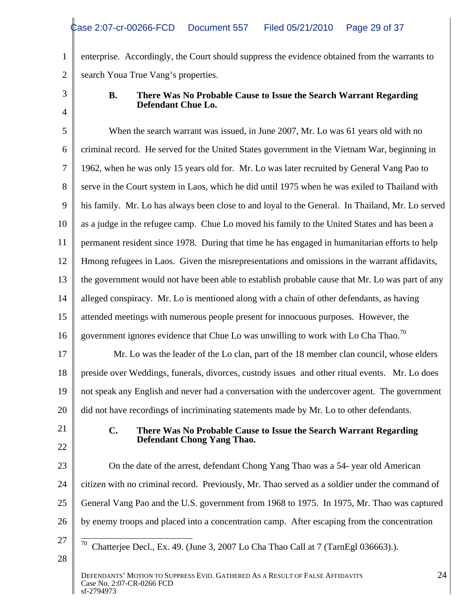1 enterprise. Accordingly, the Court should suppress the evidence obtained from the warrants to 2 | search Youa True Vang's properties.

### 3 **B. There Was No Probable Cause to Issue the Search Warrant Regarding**   $4 \parallel$ **Defendant Chue Lo.**

5 When the search warrant was issued, in June 2007, Mr. Lo was 61 years old with no 6 criminal record. He served for the United States government in the Vietnam War, beginning in 7 1962, when he was only 15 years old for. Mr. Lo was later recruited by General Vang Pao to 8 serve in the Court system in Laos, which he did until 1975 when he was exiled to Thailand with 9 his family. Mr. Lo has always been close to and loyal to the General. In Thailand, Mr. Lo served 10 as a judge in the refugee camp. Chue Lo moved his family to the United States and has been a 11 permanent resident since 1978. During that time he has engaged in humanitarian efforts to help 12 Hmong refugees in Laos. Given the misrepresentations and omissions in the warrant affidavits, 13 the government would not have been able to establish probable cause that Mr. Lo was part of any 14 alleged conspiracy. Mr. Lo is mentioned along with a chain of other defendants, as having 15 attended meetings with numerous people present for innocuous purposes. However, the 16 government ignores evidence that Chue Lo was unwilling to work with Lo Cha Thao.<sup>70</sup> 17 Mr. Lo was the leader of the Lo clan, part of the 18 member clan council, whose elders 18 | preside over Weddings, funerals, divorces, custody issues and other ritual events. Mr. Lo does 19  $\parallel$  not speak any English and never had a conversation with the undercover agent. The government 20 did not have recordings of incriminating statements made by Mr. Lo to other defendants. 21 **C. There Was No Probable Cause to Issue the Search Warrant Regarding**   $22 \parallel$ **Defendant Chong Yang Thao.**

23 Con the date of the arrest, defendant Chong Yang Thao was a 54- year old American 24 citizen with no criminal record. Previously, Mr. Thao served as a soldier under the command of 25 | General Vang Pao and the U.S. government from 1968 to 1975. In 1975, Mr. Thao was captured | 26 | by enemy troops and placed into a concentration camp. After escaping from the concentration

DEFENDANTS' MOTION TO SUPPRESS EVID. GATHERED AS A RESULT OF FALSE AFFIDAVITS 24<br>Case No. 2:07-CR-0266 FCD Case No. 2:07-CR-0266 FCD  $\text{sf-2794973}$ 

 $27 \parallel \overline{70}$  Chatterjee Decl., Ex. 49. (June 3, 2007 Lo Cha Thao Call at 7 (TarnEgl 036663).).  $28 \parallel$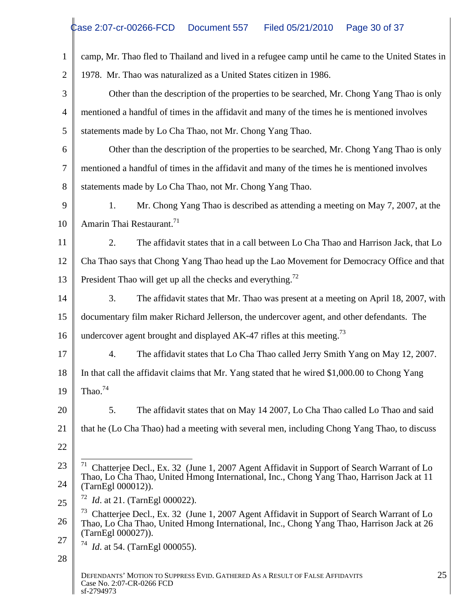|                | camp, Mr. Thao fled to Thailand and lived in a refugee camp until he came to the United States in                                                                                                                          |
|----------------|----------------------------------------------------------------------------------------------------------------------------------------------------------------------------------------------------------------------------|
|                | 1978. Mr. Thao was naturalized as a United States citizen in 1986.                                                                                                                                                         |
| 3 <sup>1</sup> | Other than the description of the properties to be searched, Mr. Chong Yang Thao is only                                                                                                                                   |
|                | mentioned a handful of times in the affidavit and many of the times he is mentioned involves                                                                                                                               |
|                | statements made by Lo Cha Thao, not Mr. Chong Yang Thao.                                                                                                                                                                   |
| 6              | Other than the description of the properties to be searched, Mr. Chong Yang Thao is only                                                                                                                                   |
|                | mentioned a handful of times in the affidavit and many of the times he is mentioned involves                                                                                                                               |
| 8              | statements made by Lo Cha Thao, not Mr. Chong Yang Thao.                                                                                                                                                                   |
| 9              | Mr. Chong Yang Thao is described as attending a meeting on May 7, 2007, at the                                                                                                                                             |
|                | 10   Amarin Thai Restaurant. <sup>71</sup>                                                                                                                                                                                 |
|                | The affidavit states that in a call between Lo Cha Thao and Harrison Jack, that Lo                                                                                                                                         |
|                | 12   Cha Thao says that Chong Yang Thao head up the Lao Movement for Democracy Office and that                                                                                                                             |
|                | President Thao will get up all the checks and everything. <sup><math>12</math></sup>                                                                                                                                       |
| 14             | The affidavit states that Mr. Thao was present at a meeting on April 18, 2007, with                                                                                                                                        |
| 15             | documentary film maker Richard Jellerson, the undercover agent, and other defendants. The                                                                                                                                  |
| 16 I           | undercover agent brought and displayed AK-47 rifles at this meeting. <sup>73</sup>                                                                                                                                         |
| 17             | The affidavit states that Lo Cha Thao called Jerry Smith Yang on May 12, 2007.                                                                                                                                             |
|                | 18   In that call the affidavit claims that Mr. Yang stated that he wired \$1,000.00 to Chong Yang                                                                                                                         |
|                | 19 Thao. <sup>74</sup>                                                                                                                                                                                                     |
|                | The affidavit states that on May 14 2007, Lo Cha Thao called Lo Thao and said                                                                                                                                              |
|                | that he (Lo Cha Thao) had a meeting with several men, including Chong Yang Thao, to discuss                                                                                                                                |
| 22             |                                                                                                                                                                                                                            |
| 23             | <sup>71</sup> Chatterjee Decl., Ex. 32 (June 1, 2007 Agent Affidavit in Support of Search Warrant of Lo                                                                                                                    |
| 24             | Thao, Lo Cha Thao, United Hmong International, Inc., Chong Yang Thao, Harrison Jack at 11<br>(TarnEgl 000012)).                                                                                                            |
| 25             | $12$ <i>Id.</i> at 21. (TarnEgl 000022).                                                                                                                                                                                   |
|                | <sup>73</sup> Chatterjee Decl., Ex. 32 (June 1, 2007 Agent Affidavit in Support of Search Warrant of Lo<br>Thao, Lo Cha Thao, United Hmong International, Inc., Chong Yang Thao, Harrison Jack at 26<br>(TarnEgl 000027)). |
| 27             | $^{74}$ <i>Id.</i> at 54. (TarnEgl 000055).                                                                                                                                                                                |
| 28             |                                                                                                                                                                                                                            |
|                | 25<br>DEFENDANTS' MOTION TO SUPPRESS EVID. GATHERED AS A RESULT OF FALSE AFFIDAVITS<br>Case No. 2:07-CR-0266 FCD<br>sf-2794973                                                                                             |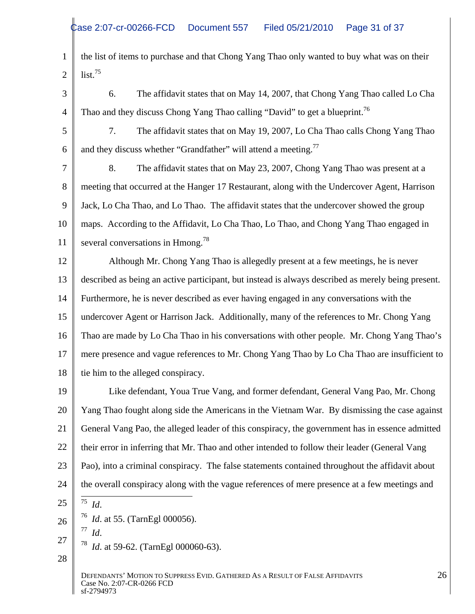1 the list of items to purchase and that Chong Yang Thao only wanted to buy what was on their 2  $\parallel$  list.<sup>15</sup>  $\text{list.}^{75}$ 

- 3 6. The affidavit states that on May 14, 2007, that Chong Yang Thao called Lo Cha 4 Thao and they discuss Chong Yang Thao calling "David" to get a blueprint.<sup>76</sup>
- 5 7. The affidavit states that on May 19, 2007, Lo Cha Thao calls Chong Yang Thao 6  $\parallel$  and they discuss whether "Grandfather" will attend a meeting.<sup>77</sup>

7 8. The affidavit states that on May 23, 2007, Chong Yang Thao was present at a 8 meeting that occurred at the Hanger 17 Restaurant, along with the Undercover Agent, Harrison 9 Jack, Lo Cha Thao, and Lo Thao. The affidavit states that the undercover showed the group 10 | maps. According to the Affidavit, Lo Cha Thao, Lo Thao, and Chong Yang Thao engaged in 11 several conversations in Hmong.<sup>78</sup>

11 Several conversations in Hmong.<sup>78</sup><br>12 Although Mr. Chong Yang Thao is allegedly present at a few meetings, he is never 13 described as being an active participant, but instead is always described as merely being present. 14 Furthermore, he is never described as ever having engaged in any conversations with the 15 | undercover Agent or Harrison Jack. Additionally, many of the references to Mr. Chong Yang 16 Thao are made by Lo Cha Thao in his conversations with other people. Mr. Chong Yang Thao's 17 mere presence and vague references to Mr. Chong Yang Thao by Lo Cha Thao are insufficient to 18 tie him to the alleged conspiracy.

19 Like defendant, Youa True Vang, and former defendant, General Vang Pao, Mr. Chong 20 | Yang Thao fought along side the Americans in the Vietnam War. By dismissing the case against 21 Ceneral Vang Pao, the alleged leader of this conspiracy, the government has in essence admitted 22 | their error in inferring that Mr. Thao and other intended to follow their leader (General Vang 23 | Pao), into a criminal conspiracy. The false statements contained throughout the affidavit about 24 | the overall conspiracy along with the vague references of mere presence at a few meetings and  $25 \parallel$  <sup>75</sup> Id.  $\frac{75}{14}$ 

- 
- 26  $\int_{77}^{76} Id.$  at 55. (TarnEgl 000056). *Id*. 76 *Id*. at 55. (TarnEgl 000056).
	- $77$   $H$ *Id*.
- $27 \parallel$  78  $\sim$  1.450.60  $\sim$  F 1.000060.60) *Id.* at 59-62. (TarnEgl 000060-63).
- $28 \parallel$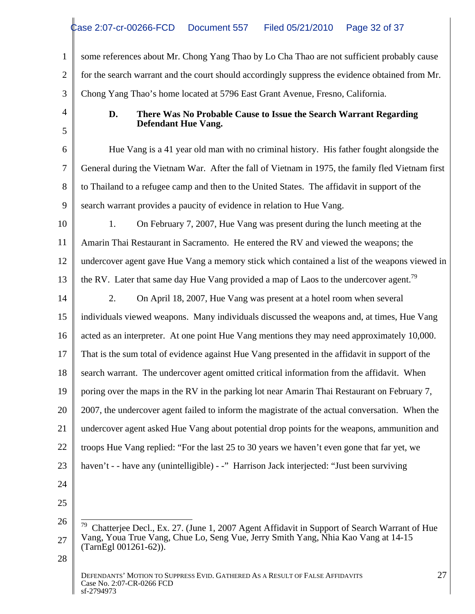1 some references about Mr. Chong Yang Thao by Lo Cha Thao are not sufficient probably cause 2 for the search warrant and the court should accordingly suppress the evidence obtained from Mr. 3 Chong Yang Thao's home located at 5796 East Grant Avenue, Fresno, California.

### 4 **D. There Was No Probable Cause to Issue the Search Warrant Regarding**   $5 \parallel$ **Defendant Hue Vang.**

6 Hue Vang is a 41 year old man with no criminal history. His father fought alongside the 7 General during the Vietnam War. After the fall of Vietnam in 1975, the family fled Vietnam first 8 to Thailand to a refugee camp and then to the United States. The affidavit in support of the 9 search warrant provides a paucity of evidence in relation to Hue Vang.

9 search warrant provides a paucity of evidence in relation to Hue Vang.<br>
10 1. On February 7, 2007, Hue Vang was present during the lunch meeting at the 11 Amarin Thai Restaurant in Sacramento. He entered the RV and viewed the weapons; the 12 undercover agent gave Hue Vang a memory stick which contained a list of the weapons viewed in 13  $\parallel$  the RV. Later that same day Hue Vang provided a map of Laos to the undercover agent.<sup>79</sup>

14 2. On April 18, 2007, Hue Vang was present at a hotel room when several 15 | individuals viewed weapons. Many individuals discussed the weapons and, at times, Hue Vang 16 acted as an interpreter. At one point Hue Vang mentions they may need approximately 10,000. 17 That is the sum total of evidence against Hue Vang presented in the affidavit in support of the 18 search warrant. The undercover agent omitted critical information from the affidavit. When 19 poring over the maps in the RV in the parking lot near Amarin Thai Restaurant on February 7, 20 | 2007, the undercover agent failed to inform the magistrate of the actual conversation. When the 21 | undercover agent asked Hue Vang about potential drop points for the weapons, ammunition and 22 | troops Hue Vang replied: "For the last 25 to 30 years we haven't even gone that far yet, we 23 haven't - - have any (unintelligible) - -" Harrison Jack interjected: "Just been surviving

24 | $\blacksquare$  $25 \parallel$ 

<sup>26</sup>  $\frac{1}{79}$  Chatterjee Decl., Ex. 27. (June 1, 2007 Agent Affidavit in Support of Search Warrant of Hue 27 Vang, Youa True Vang, Chue Lo, Seng Vue, Jerry Smith Yang, Nhia Kao Vang at 14-15 (TarnEgl 001261-62)).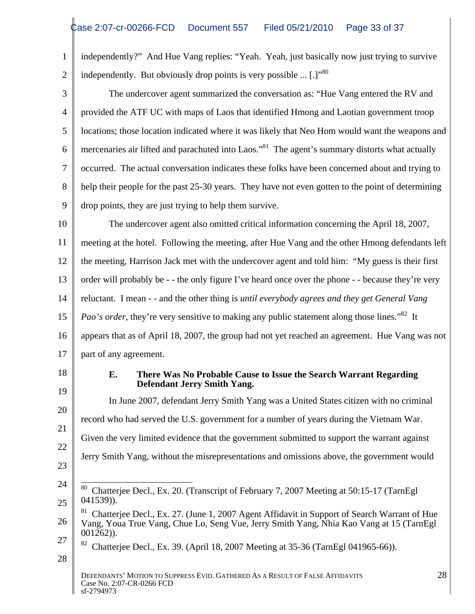|                | independently?" And Hue Vang replies: "Yeah. Yeah, just basically now just trying to survive                                                                                                                         |
|----------------|----------------------------------------------------------------------------------------------------------------------------------------------------------------------------------------------------------------------|
| $\overline{2}$ | independently. But obviously drop points is very possible  [.]"80                                                                                                                                                    |
| $\mathfrak{Z}$ | The undercover agent summarized the conversation as: "Hue Vang entered the RV and                                                                                                                                    |
|                | provided the ATF UC with maps of Laos that identified Hmong and Laotian government troop                                                                                                                             |
| $\mathfrak{S}$ | locations; those location indicated where it was likely that Neo Hom would want the weapons and                                                                                                                      |
| 6              | mercenaries air lifted and parachuted into Laos." <sup>81</sup> The agent's summary distorts what actually                                                                                                           |
|                | occurred. The actual conversation indicates these folks have been concerned about and trying to                                                                                                                      |
| 8              | help their people for the past 25-30 years. They have not even gotten to the point of determining                                                                                                                    |
| 9              | drop points, they are just trying to help them survive.                                                                                                                                                              |
| 10             | The undercover agent also omitted critical information concerning the April 18, 2007,                                                                                                                                |
|                | meeting at the hotel. Following the meeting, after Hue Vang and the other Hmong defendants left                                                                                                                      |
| 12             | the meeting, Harrison Jack met with the undercover agent and told him: "My guess is their first                                                                                                                      |
| 13             | order will probably be - - the only figure I've heard once over the phone - - because they're very                                                                                                                   |
| 14             | reluctant. I mean - - and the other thing is until everybody agrees and they get General Vang                                                                                                                        |
| 15             | <i>Pao's order</i> , they're very sensitive to making any public statement along those lines." <sup>82</sup> It                                                                                                      |
| 16             | appears that as of April 18, 2007, the group had not yet reached an agreement. Hue Vang was not                                                                                                                      |
| 17             | part of any agreement.                                                                                                                                                                                               |
| 18<br>19       | There Was No Probable Cause to Issue the Search Warrant Regarding<br>E.<br>Defendant Jerry Smith Yang.                                                                                                               |
| 20             | In June 2007, defendant Jerry Smith Yang was a United States citizen with no criminal                                                                                                                                |
| 21             | record who had served the U.S. government for a number of years during the Vietnam War.                                                                                                                              |
| 22             | Given the very limited evidence that the government submitted to support the warrant against                                                                                                                         |
| 23             | Jerry Smith Yang, without the misrepresentations and omissions above, the government would                                                                                                                           |
| 24             | <sup>80</sup> Chatterjee Decl., Ex. 20. (Transcript of February 7, 2007 Meeting at 50:15-17 (TarnEgl<br>$041539)$ ).                                                                                                 |
| 25<br>26       | <sup>81</sup> Chatterjee Decl., Ex. 27. (June 1, 2007 Agent Affidavit in Support of Search Warrant of Hue<br>Vang, Youa True Vang, Chue Lo, Seng Vue, Jerry Smith Yang, Nhia Kao Vang at 15 (TarnEgl<br>$001262)$ ). |
| 27             | <sup>82</sup> Chatterjee Decl., Ex. 39. (April 18, 2007 Meeting at 35-36 (TarnEgl 041965-66)).                                                                                                                       |
| 28             |                                                                                                                                                                                                                      |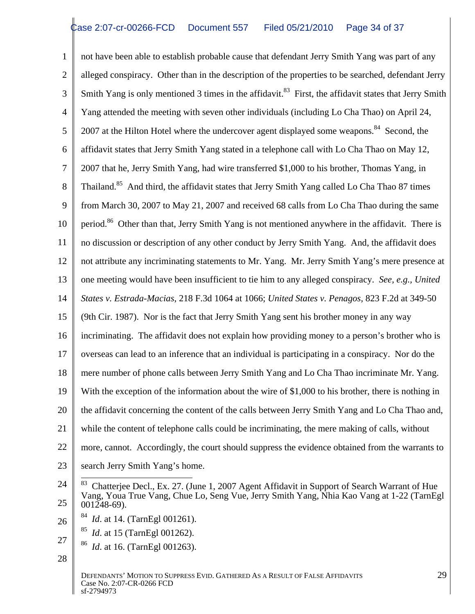1 not have been able to establish probable cause that defendant Jerry Smith Yang was part of any 2 alleged conspiracy. Other than in the description of the properties to be searched, defendant Jerry 3 Smith Yang is only mentioned 3 times in the affidavit.<sup>83</sup> First, the affidavit states that Jerry Smith 4 Yang attended the meeting with seven other individuals (including Lo Cha Thao) on April 24,  $5 \parallel 2007$  at the Hilton Hotel where the undercover agent displayed some weapons.<sup>84</sup> Second, the 6 affidavit states that Jerry Smith Yang stated in a telephone call with Lo Cha Thao on May 12, 7 2007 that he, Jerry Smith Yang, had wire transferred \$1,000 to his brother, Thomas Yang, in 8 Thailand.<sup>85</sup> And third, the affidavit states that Jerry Smith Yang called Lo Cha Thao 87 times 9 from March 30, 2007 to May 21, 2007 and received 68 calls from Lo Cha Thao during the same 10 period.<sup>86</sup> Other than that, Jerry Smith Yang is not mentioned anywhere in the affidavit. There is 11 | no discussion or description of any other conduct by Jerry Smith Yang. And, the affidavit does 12 not attribute any incriminating statements to Mr. Yang. Mr. Jerry Smith Yang's mere presence at | 13 one meeting would have been insufficient to tie him to any alleged conspiracy. *See, e.g., United* 14 *States v. Estrada-Macias*, 218 F.3d 1064 at 1066; *United States v. Penagos*, 823 F.2d at 349-50 15 (9th Cir. 1987). Nor is the fact that Jerry Smith Yang sent his brother money in any way 16 incriminating. The affidavit does not explain how providing money to a person's brother who is 17 | overseas can lead to an inference that an individual is participating in a conspiracy. Nor do the 18 mere number of phone calls between Jerry Smith Yang and Lo Cha Thao incriminate Mr. Yang. 19 With the exception of the information about the wire of \$1,000 to his brother, there is nothing in 20 | the affidavit concerning the content of the calls between Jerry Smith Yang and Lo Cha Thao and, | 21 while the content of telephone calls could be incriminating, the mere making of calls, without 22 | more, cannot. Accordingly, the court should suppress the evidence obtained from the warrants to 23 Search Jerry Smith Yang's home.

- $26 \parallel$  at 14. (Tame gl 001261).  $^{84}$  Id at 14 (TarnFal 001261) *Id.* at 14. (TarnEgl 001261).
	- 85 *Id*. at 15 (TarnEgl 001262).
- $27 \parallel$  86  $\parallel$  16 ( $\parallel$   $\parallel$   $\parallel$  001262) <sup>86</sup> *Id*. at 16. (TarnEgl 001263).
- $28 \parallel$

<sup>24</sup>  $\frac{1}{83}$  Chatterjee Decl., Ex. 27. (June 1, 2007 Agent Affidavit in Support of Search Warrant of Hue  $25 \parallel 0.01248 - 69.$ Vang, Youa True Vang, Chue Lo, Seng Vue, Jerry Smith Yang, Nhia Kao Vang at 1-22 (TarnEgl 001248-69).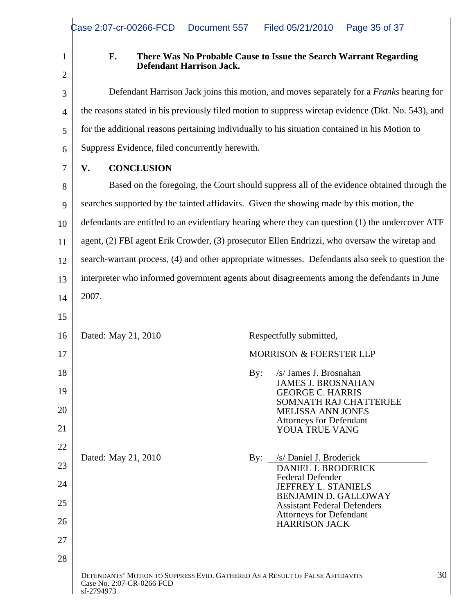# 1 **F. There Was No Probable Cause to Issue the Search Warrant Regarding**  2 |  $\blacksquare$ **Defendant Harrison Jack.**

3 Defendant Harrison Jack joins this motion, and moves separately for a *Franks* hearing for 4 the reasons stated in his previously filed motion to suppress wiretap evidence (Dkt. No. 543), and 5 for the additional reasons pertaining individually to his situation contained in his Motion to 6 Suppress Evidence, filed concurrently herewith.

#### 7 | V. CONCLUSION **V. CONCLUSION**

8 Sased on the foregoing, the Court should suppress all of the evidence obtained through the 9 searches supported by the tainted affidavits. Given the showing made by this motion, the 10 defendants are entitled to an evidentiary hearing where they can question (1) the undercover ATF 11 agent, (2) FBI agent Erik Crowder, (3) prosecutor Ellen Endrizzi, who oversaw the wiretap and 12 Search-warrant process, (4) and other appropriate witnesses. Defendants also seek to question the 13 interpreter who informed government agents about disagreements among the defendants in June  $14 \parallel 2007.$ 

|                | $14 \parallel 2007.$     |                                                                                                                       |                 |
|----------------|--------------------------|-----------------------------------------------------------------------------------------------------------------------|-----------------|
| 15             |                          |                                                                                                                       |                 |
|                | 16   Dated: May 21, 2010 | Respectfully submitted,                                                                                               |                 |
| 17             |                          | MORRISON & FOERSTER LLP                                                                                               |                 |
| 18<br>19       |                          | By: /s/ James J. Brosnahan<br><b>JAMES J. BROSNAHAN</b><br><b>GEORGE C. HARRIS</b><br>SOMNATH RAJ CHATTERJEE          |                 |
| 20<br>21       |                          | MELISSA ANN JONES<br><b>Attorneys for Defendant<br/>YOUA TRUE VANG</b>                                                |                 |
| 22<br>23<br>24 | Dated: May 21, 2010      | By: /s/Daniel J. Broderick<br>DANIEL J. BRODERICK<br>Federal Defender<br>JEFFREY L. STANIELS                          |                 |
| 25             |                          | <b>BENJAMIN D. GALLOWAY</b><br><b>Assistant Federal Defenders</b><br><b>Attorneys for Defendant<br/>HARRISON JACK</b> |                 |
| 26<br>27       |                          |                                                                                                                       |                 |
| 28             |                          |                                                                                                                       |                 |
|                | sf-2794973               | DEFENDANTS' MOTION TO SUPPRESS EVID. GATHERED AS A RESULT OF FALSE AFFIDAVITS<br>Case No. 2:07-CR-0266 FCD            | 30 <sup>1</sup> |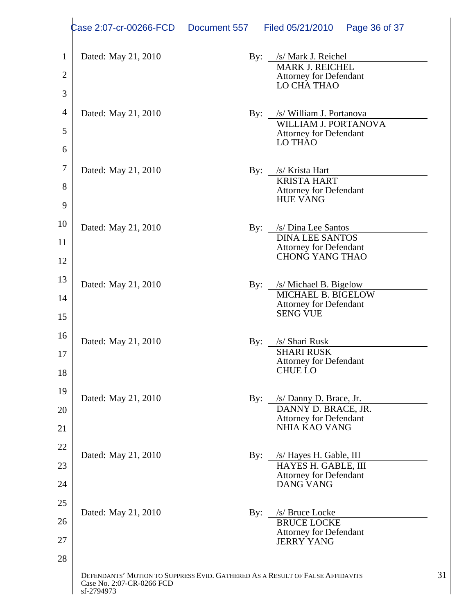|                | Case 2:07-cr-00266-FCD Document 557                                           |                    | Filed 05/21/2010  Page 36 of 37                                             |
|----------------|-------------------------------------------------------------------------------|--------------------|-----------------------------------------------------------------------------|
|                | Dated: May 21, 2010                                                           |                    | By: /s/ Mark J. Reichel                                                     |
|                |                                                                               |                    | MARK J. REICHEL                                                             |
|                |                                                                               |                    | Attorney for Defendant<br>LO CHA THAO                                       |
|                | 4 Dated: May 21, 2010                                                         |                    | By: /s/ William J. Portanova                                                |
|                |                                                                               |                    | WILLIAM J. PORTANOVA                                                        |
| 6              |                                                                               |                    | Attorney for Defendant<br>LO THAO                                           |
|                |                                                                               |                    |                                                                             |
|                | Dated: May 21, 2010                                                           |                    | By: /s/ Krista Hart<br><b>KRISTA HART</b>                                   |
|                |                                                                               |                    | Attorney for Defendant<br>HUE VANG                                          |
|                |                                                                               |                    |                                                                             |
|                | Dated: May 21, 2010                                                           | $\mathbf{By:}$     | $/s/$ Dina Lee Santos                                                       |
|                |                                                                               |                    | <b>DINA LEE SANTOS</b><br><b>Attorney for Defendant<br/>CHONG YANG THAO</b> |
| 12             |                                                                               |                    |                                                                             |
|                | Dated: May 21, 2010                                                           |                    | By: /s/ Michael B. Bigelow<br>MICHAEL B. BIGELOW                            |
| 14             |                                                                               |                    | <b>Attorney for Defendant</b>                                               |
| 15             |                                                                               |                    | SENG VUE                                                                    |
|                | Dated: May 21, 2010                                                           | By: /s/ Shari Rusk |                                                                             |
|                |                                                                               |                    |                                                                             |
| 18             |                                                                               |                    | SHARI RUSK<br>Attorney for Defendant<br>CHUE LO                             |
|                |                                                                               |                    |                                                                             |
| 20             | Dated: May 21, 2010                                                           |                    | By: /s/ Danny D. Brace, Jr.<br>DANNY D. BRACE, JR.                          |
|                |                                                                               |                    | Attorney for Defendant<br>NHIA KAO VANG                                     |
| 21             |                                                                               |                    |                                                                             |
| 22             | Dated: May 21, 2010                                                           |                    | By: /s/ Hayes H. Gable, III                                                 |
| 23             |                                                                               |                    | HAYES H. GABLE, III<br><b>Attorney for Defendant</b>                        |
| 24             |                                                                               |                    | DANG VANG                                                                   |
| 5 <sup>1</sup> | Dated: May 21, 2010                                                           |                    | By: /s/ Bruce Locke                                                         |
| 26             |                                                                               |                    | BRUCE LOCKE                                                                 |
| דר             |                                                                               |                    | <b>Attorney for Defendant</b><br>JERRY YANG                                 |
| 28             |                                                                               |                    |                                                                             |
|                | DEFENDANTS' MOTION TO SUPPRESS EVID. GATHERED AS A RESULT OF FALSE AFFIDAVITS |                    |                                                                             |
|                | Case No. 2:07-CR-0266 FCD<br>sf-2794973                                       |                    |                                                                             |